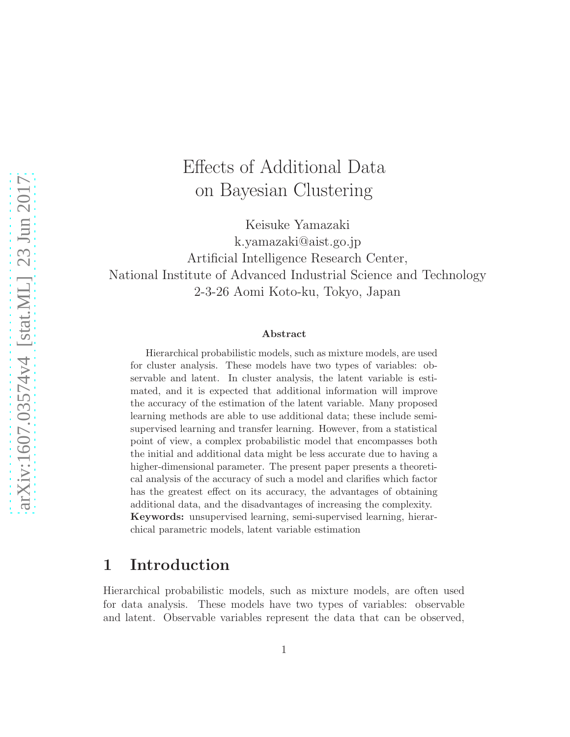# Effects of Additional Data on Bayesian Clustering

Keisuke Yamazaki k.yamazaki@aist.go.jp Artificial Intelligence Research Center, National Institute of Advanced Industrial Science and Technology 2-3-26 Aomi Koto-ku, Tokyo, Japan

#### Abstract

Hierarchical probabilistic models, such as mixture models, are used for cluster analysis. These models have two types of variables: observable and latent. In cluster analysis, the latent variable is estimated, and it is expected that additional information will improve the accuracy of the estimation of the latent variable. Many proposed learning methods are able to use additional data; these include semisupervised learning and transfer learning. However, from a statistical point of view, a complex probabilistic model that encompasses both the initial and additional data might be less accurate due to having a higher-dimensional parameter. The present paper presents a theoretical analysis of the accuracy of such a model and clarifies which factor has the greatest effect on its accuracy, the advantages of obtaining additional data, and the disadvantages of increasing the complexity. Keywords: unsupervised learning, semi-supervised learning, hierarchical parametric models, latent variable estimation

## 1 Introduction

Hierarchical probabilistic models, such as mixture models, are often used for data analysis. These models have two types of variables: observable and latent. Observable variables represent the data that can be observed,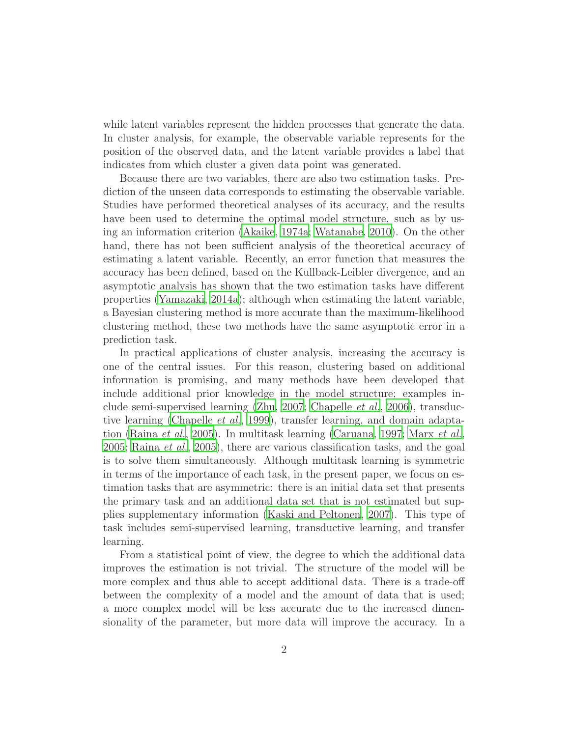while latent variables represent the hidden processes that generate the data. In cluster analysis, for example, the observable variable represents for the position of the observed data, and the latent variable provides a label that indicates from which cluster a given data point was generated.

Because there are two variables, there are also two estimation tasks. Prediction of the unseen data corresponds to estimating the observable variable. Studies have performed theoretical analyses of its accuracy, and the results have been used to determine the optimal model structure, such as by using an information criterion [\(Akaike](#page-29-0), [1974a;](#page-29-0) [Watanabe](#page-30-0), [2010\)](#page-30-0). On the other hand, there has not been sufficient analysis of the theoretical accuracy of estimating a latent variable. Recently, an error function that measures the accuracy has been defined, based on the Kullback-Leibler divergence, and an asymptotic analysis has shown that the two estimation tasks have different properties [\(Yamazaki, 2014a\)](#page-31-0); although when estimating the latent variable, a Bayesian clustering method is more accurate than the maximum-likelihood clustering method, these two methods have the same asymptotic error in a prediction task.

In practical applications of cluster analysis, increasing the accuracy is one of the central issues. For this reason, clustering based on additional information is promising, and many methods have been developed that include additional prior knowledge in the model structure; examples include semi-supervised learning [\(Zhu, 2007;](#page-31-1) [Chapelle](#page-29-1) et al., [2006](#page-29-1)), transductive learning [\(Chapelle](#page-29-2) et al., [1999\)](#page-29-2), transfer learning, and domain adapta-tion [\(Raina](#page-30-1) et al., [2005\)](#page-30-1). In multitask learning [\(Caruana, 1997;](#page-29-3) [Marx](#page-30-2) et al., [2005](#page-30-2); [Raina](#page-30-1) et al., [2005](#page-30-1)), there are various classification tasks, and the goal is to solve them simultaneously. Although multitask learning is symmetric in terms of the importance of each task, in the present paper, we focus on estimation tasks that are asymmetric: there is an initial data set that presents the primary task and an additional data set that is not estimated but supplies supplementary information [\(Kaski and Peltonen](#page-30-3), [2007](#page-30-3)). This type of task includes semi-supervised learning, transductive learning, and transfer learning.

From a statistical point of view, the degree to which the additional data improves the estimation is not trivial. The structure of the model will be more complex and thus able to accept additional data. There is a trade-off between the complexity of a model and the amount of data that is used; a more complex model will be less accurate due to the increased dimensionality of the parameter, but more data will improve the accuracy. In a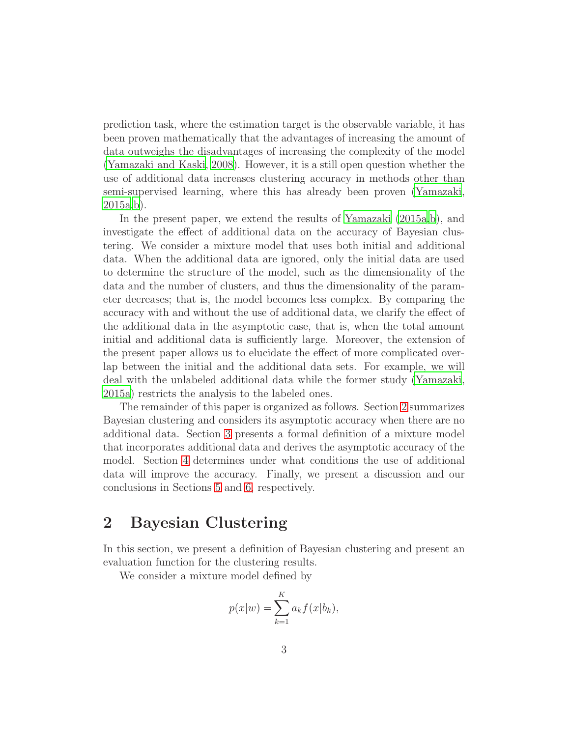prediction task, where the estimation target is the observable variable, it has been proven mathematically that the advantages of increasing the amount of data outweighs the disadvantages of increasing the complexity of the model [\(Yamazaki and Kaski, 2008\)](#page-31-2). However, it is a still open question whether the use of additional data increases clustering accuracy in methods other than semi-supervised learning, where this has already been proven [\(Yamazaki](#page-31-3), [2015a](#page-31-3)[,b\)](#page-31-4).

In the present paper, we extend the results of [Yamazaki \(2015a](#page-31-3)[,b](#page-31-4)), and investigate the effect of additional data on the accuracy of Bayesian clustering. We consider a mixture model that uses both initial and additional data. When the additional data are ignored, only the initial data are used to determine the structure of the model, such as the dimensionality of the data and the number of clusters, and thus the dimensionality of the parameter decreases; that is, the model becomes less complex. By comparing the accuracy with and without the use of additional data, we clarify the effect of the additional data in the asymptotic case, that is, when the total amount initial and additional data is sufficiently large. Moreover, the extension of the present paper allows us to elucidate the effect of more complicated overlap between the initial and the additional data sets. For example, we will deal with the unlabeled additional data while the former study [\(Yamazaki](#page-31-3), [2015a](#page-31-3)) restricts the analysis to the labeled ones.

The remainder of this paper is organized as follows. Section [2](#page-2-0) summarizes Bayesian clustering and considers its asymptotic accuracy when there are no additional data. Section [3](#page-5-0) presents a formal definition of a mixture model that incorporates additional data and derives the asymptotic accuracy of the model. Section [4](#page-13-0) determines under what conditions the use of additional data will improve the accuracy. Finally, we present a discussion and our conclusions in Sections [5](#page-24-0) and [6,](#page-29-4) respectively.

## <span id="page-2-0"></span>2 Bayesian Clustering

In this section, we present a definition of Bayesian clustering and present an evaluation function for the clustering results.

We consider a mixture model defined by

$$
p(x|w) = \sum_{k=1}^{K} a_k f(x|b_k),
$$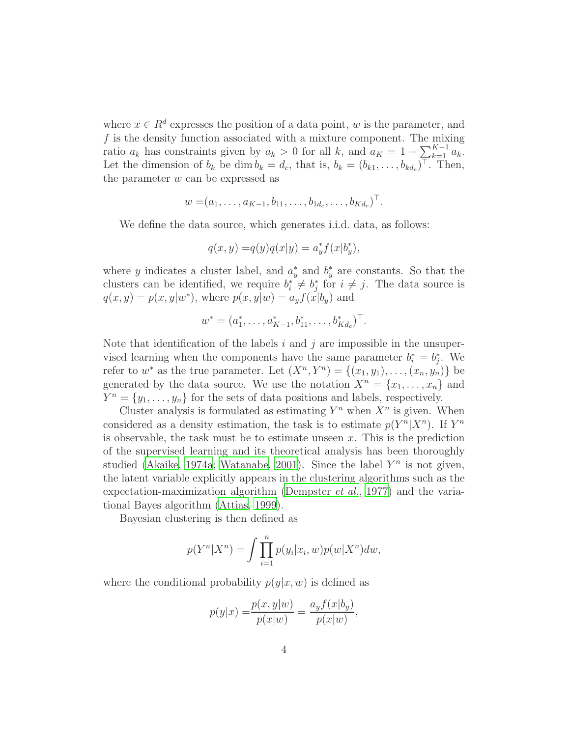where  $x \in \mathbb{R}^d$  expresses the position of a data point, w is the parameter, and  $f$  is the density function associated with a mixture component. The mixing ratio  $a_k$  has constraints given by  $a_k > 0$  for all k, and  $a_K = 1 - \sum_{k=1}^{K-1} a_k^{\mathcal{O}}$ . Let the dimension of  $b_k$  be dim  $b_k = d_c$ , that is,  $b_k = (b_{k1}, \ldots, b_{kd_c})^{\top}$ . Then, the parameter  $w$  can be expressed as

$$
w = (a_1, \ldots, a_{K-1}, b_{11}, \ldots, b_{1d_c}, \ldots, b_{Kd_c})^{\top}.
$$

We define the data source, which generates i.i.d. data, as follows:

$$
q(x, y) = q(y)q(x|y) = a_y^* f(x|b_y^*),
$$

where y indicates a cluster label, and  $a^*$  $y^*$  and  $b^*_y$  $y^*$  are constants. So that the clusters can be identified, we require  $b_i^* \neq b_j^*$  $j \text{ for } i \neq j$ . The data source is  $q(x, y) = p(x, y|w^*)$ , where  $p(x, y|w) = a_y f(x|b_y)$  and

$$
w^* = (a_1^*, \ldots, a_{K-1}^*, b_{11}^*, \ldots, b_{K d_c}^*)^\top.
$$

Note that identification of the labels i and j are impossible in the unsupervised learning when the components have the same parameter  $b_i^* = b_j^*$  $j$ . We refer to  $w^*$  as the true parameter. Let  $(X^n, Y^n) = \{(x_1, y_1), \ldots, (x_n, y_n)\}\)$ generated by the data source. We use the notation  $X^n = \{x_1, \ldots, x_n\}$  and  $Y^n = \{y_1, \ldots, y_n\}$  for the sets of data positions and labels, respectively.

Cluster analysis is formulated as estimating  $Y^n$  when  $X^n$  is given. When considered as a density estimation, the task is to estimate  $p(Y^n|X^n)$ . If  $Y^n$ is observable, the task must be to estimate unseen  $x$ . This is the prediction of the supervised learning and its theoretical analysis has been thoroughly studied [\(Akaike, 1974a;](#page-29-0) [Watanabe](#page-30-4), [2001\)](#page-30-4). Since the label  $Y^n$  is not given, the latent variable explicitly appears in the clustering algorithms such as the expectation-maximization algorithm [\(Dempster](#page-30-5) et al., [1977\)](#page-30-5) and the variational Bayes algorithm [\(Attias, 1999](#page-29-5)).

Bayesian clustering is then defined as

$$
p(Y^n|X^n) = \int \prod_{i=1}^n p(y_i|x_i, w)p(w|X^n)dw,
$$

where the conditional probability  $p(y|x, w)$  is defined as

$$
p(y|x) = \frac{p(x, y|w)}{p(x|w)} = \frac{a_y f(x|b_y)}{p(x|w)},
$$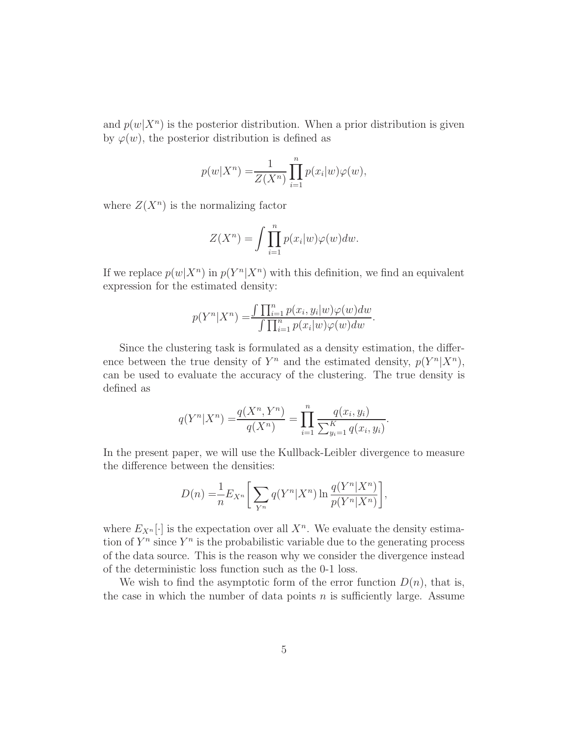and  $p(w|X^n)$  is the posterior distribution. When a prior distribution is given by  $\varphi(w)$ , the posterior distribution is defined as

$$
p(w|X^n) = \frac{1}{Z(X^n)} \prod_{i=1}^n p(x_i|w)\varphi(w),
$$

where  $Z(X^n)$  is the normalizing factor

$$
Z(X^n) = \int \prod_{i=1}^n p(x_i|w)\varphi(w)dw.
$$

If we replace  $p(w|X^n)$  in  $p(Y^n|X^n)$  with this definition, we find an equivalent expression for the estimated density:

$$
p(Y^n|X^n) = \frac{\int \prod_{i=1}^n p(x_i, y_i|w) \varphi(w) dw}{\int \prod_{i=1}^n p(x_i|w) \varphi(w) dw}.
$$

Since the clustering task is formulated as a density estimation, the difference between the true density of  $Y^n$  and the estimated density,  $p(Y^n|X^n)$ , can be used to evaluate the accuracy of the clustering. The true density is defined as

$$
q(Y^n|X^n) = \frac{q(X^n, Y^n)}{q(X^n)} = \prod_{i=1}^n \frac{q(x_i, y_i)}{\sum_{y_i=1}^K q(x_i, y_i)}.
$$

In the present paper, we will use the Kullback-Leibler divergence to measure the difference between the densities:

$$
D(n) = \frac{1}{n} E_{X^n} \left[ \sum_{Y^n} q(Y^n | X^n) \ln \frac{q(Y^n | X^n)}{p(Y^n | X^n)} \right],
$$

where  $E_{X^n}[\cdot]$  is the expectation over all  $X^n$ . We evaluate the density estimation of  $Y^n$  since  $Y^n$  is the probabilistic variable due to the generating process of the data source. This is the reason why we consider the divergence instead of the deterministic loss function such as the 0-1 loss.

We wish to find the asymptotic form of the error function  $D(n)$ , that is, the case in which the number of data points  $n$  is sufficiently large. Assume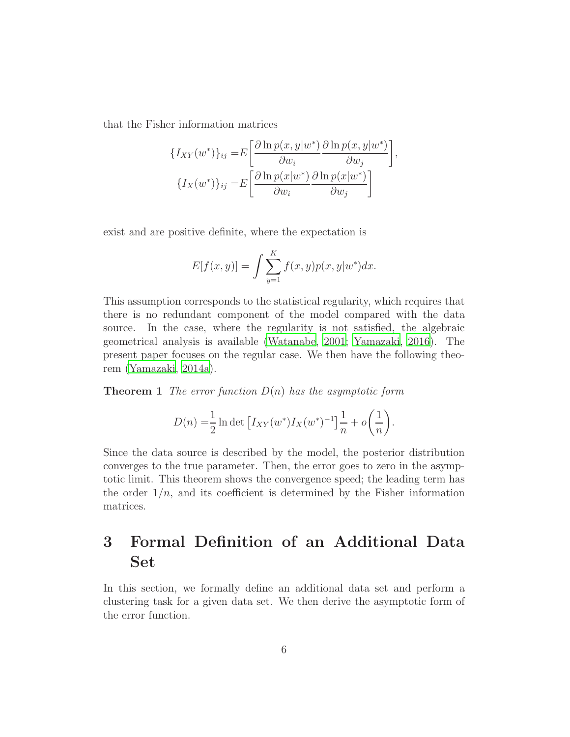that the Fisher information matrices

$$
\{I_{XY}(w^*)\}_{ij} = E\left[\frac{\partial \ln p(x, y|w^*)}{\partial w_i} \frac{\partial \ln p(x, y|w^*)}{\partial w_j}\right],
$$

$$
\{I_X(w^*)\}_{ij} = E\left[\frac{\partial \ln p(x|w^*)}{\partial w_i} \frac{\partial \ln p(x|w^*)}{\partial w_j}\right]
$$

exist and are positive definite, where the expectation is

$$
E[f(x, y)] = \int \sum_{y=1}^{K} f(x, y) p(x, y|w^*) dx.
$$

This assumption corresponds to the statistical regularity, which requires that there is no redundant component of the model compared with the data source. In the case, where the regularity is not satisfied, the algebraic geometrical analysis is available [\(Watanabe](#page-30-4), [2001;](#page-30-4) [Yamazaki, 2016\)](#page-31-5). The present paper focuses on the regular case. We then have the following theorem [\(Yamazaki, 2014a](#page-31-0)).

**Theorem 1** The error function  $D(n)$  has the asymptotic form

<span id="page-5-1"></span>
$$
D(n) = \frac{1}{2} \ln \det \left[ I_{XY}(w^*) I_X(w^*)^{-1} \right] \frac{1}{n} + o\left(\frac{1}{n}\right).
$$

Since the data source is described by the model, the posterior distribution converges to the true parameter. Then, the error goes to zero in the asymptotic limit. This theorem shows the convergence speed; the leading term has the order  $1/n$ , and its coefficient is determined by the Fisher information matrices.

# <span id="page-5-0"></span>3 Formal Definition of an Additional Data Set

In this section, we formally define an additional data set and perform a clustering task for a given data set. We then derive the asymptotic form of the error function.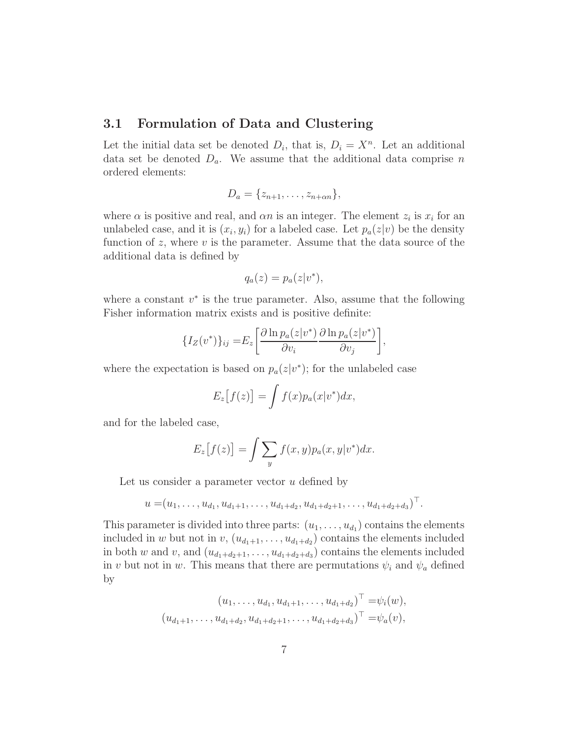#### 3.1 Formulation of Data and Clustering

Let the initial data set be denoted  $D_i$ , that is,  $D_i = X^n$ . Let an additional data set be denoted  $D_a$ . We assume that the additional data comprise n ordered elements:

$$
D_a = \{z_{n+1}, \ldots, z_{n+\alpha n}\},\,
$$

where  $\alpha$  is positive and real, and  $\alpha n$  is an integer. The element  $z_i$  is  $x_i$  for an unlabeled case, and it is  $(x_i, y_i)$  for a labeled case. Let  $p_a(z|v)$  be the density function of z, where  $v$  is the parameter. Assume that the data source of the additional data is defined by

$$
q_a(z) = p_a(z|v^*),
$$

where a constant  $v^*$  is the true parameter. Also, assume that the following Fisher information matrix exists and is positive definite:

$$
\{I_Z(v^*)\}_{ij} = E_z \left[ \frac{\partial \ln p_a(z|v^*)}{\partial v_i} \frac{\partial \ln p_a(z|v^*)}{\partial v_j} \right],
$$

where the expectation is based on  $p_a(z|v^*)$ ; for the unlabeled case

$$
E_z[f(z)] = \int f(x) p_a(x|v^*) dx,
$$

and for the labeled case,

$$
E_z[f(z)] = \int \sum_y f(x, y) p_a(x, y|v^*) dx.
$$

Let us consider a parameter vector  $u$  defined by

$$
u = (u_1, \ldots, u_{d_1}, u_{d_1+1}, \ldots, u_{d_1+d_2}, u_{d_1+d_2+1}, \ldots, u_{d_1+d_2+d_3})^{\top}.
$$

This parameter is divided into three parts:  $(u_1, \ldots, u_{d_1})$  contains the elements included in w but not in  $v, (u_{d_1+1},..., u_{d_1+d_2})$  contains the elements included in both w and v, and  $(u_{d_1+d_2+1}, \ldots, u_{d_1+d_2+d_3})$  contains the elements included in v but not in w. This means that there are permutations  $\psi_i$  and  $\psi_a$  defined by

$$
(u_1, \ldots, u_{d_1}, u_{d_1+1}, \ldots, u_{d_1+d_2})^{\top} = \psi_i(w),
$$
  

$$
(u_{d_1+1}, \ldots, u_{d_1+d_2}, u_{d_1+d_2+1}, \ldots, u_{d_1+d_2+d_3})^{\top} = \psi_a(v),
$$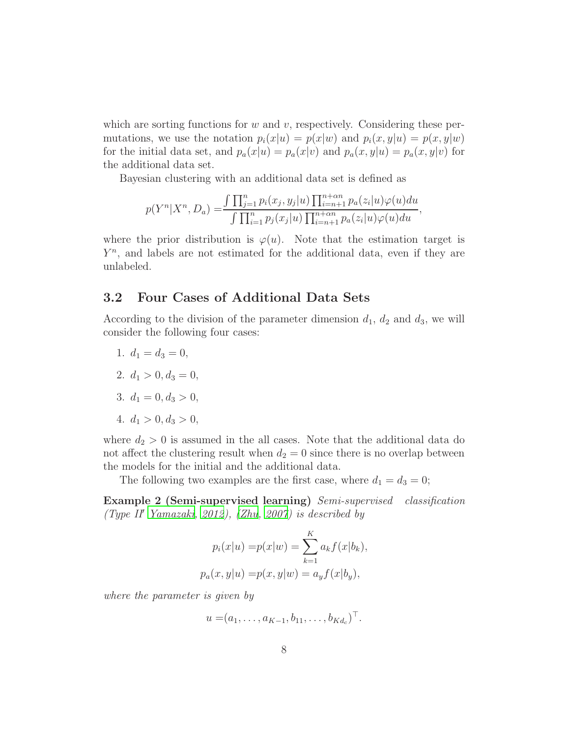which are sorting functions for  $w$  and  $v$ , respectively. Considering these permutations, we use the notation  $p_i(x|u) = p(x|w)$  and  $p_i(x, y|u) = p(x, y|w)$ for the initial data set, and  $p_a(x|u) = p_a(x|v)$  and  $p_a(x,y|u) = p_a(x,y|v)$  for the additional data set.

Bayesian clustering with an additional data set is defined as

$$
p(Y^{n}|X^{n}, D_{a}) = \frac{\int \prod_{j=1}^{n} p_{i}(x_{j}, y_{j}|u) \prod_{i=n+1}^{n+\alpha n} p_{a}(z_{i}|u) \varphi(u)du}{\int \prod_{i=1}^{n} p_{j}(x_{j}|u) \prod_{i=n+1}^{n+\alpha n} p_{a}(z_{i}|u) \varphi(u)du},
$$

where the prior distribution is  $\varphi(u)$ . Note that the estimation target is  $Y^n$ , and labels are not estimated for the additional data, even if they are unlabeled.

#### 3.2 Four Cases of Additional Data Sets

According to the division of the parameter dimension  $d_1$ ,  $d_2$  and  $d_3$ , we will consider the following four cases:

- 1.  $d_1 = d_3 = 0$ ,
- 2.  $d_1 > 0, d_3 = 0$ ,
- 3.  $d_1 = 0, d_3 > 0$ ,
- 4.  $d_1 > 0, d_3 > 0$ ,

where  $d_2 > 0$  is assumed in the all cases. Note that the additional data do not affect the clustering result when  $d_2 = 0$  since there is no overlap between the models for the initial and the additional data.

The following two examples are the first case, where  $d_1 = d_3 = 0$ ;

Example 2 (Semi-supervised learning) Semi-supervised classification (Type II′ [Yamazaki, 2012](#page-31-6)), [\(Zhu](#page-31-1), [2007\)](#page-31-1) is described by

<span id="page-7-0"></span>
$$
p_i(x|u) = p(x|w) = \sum_{k=1}^{K} a_k f(x|b_k),
$$
  

$$
p_a(x, y|u) = p(x, y|w) = a_y f(x|b_y),
$$

where the parameter is given by

$$
u = (a_1, \ldots, a_{K-1}, b_{11}, \ldots, b_{K d_c})^{\top}.
$$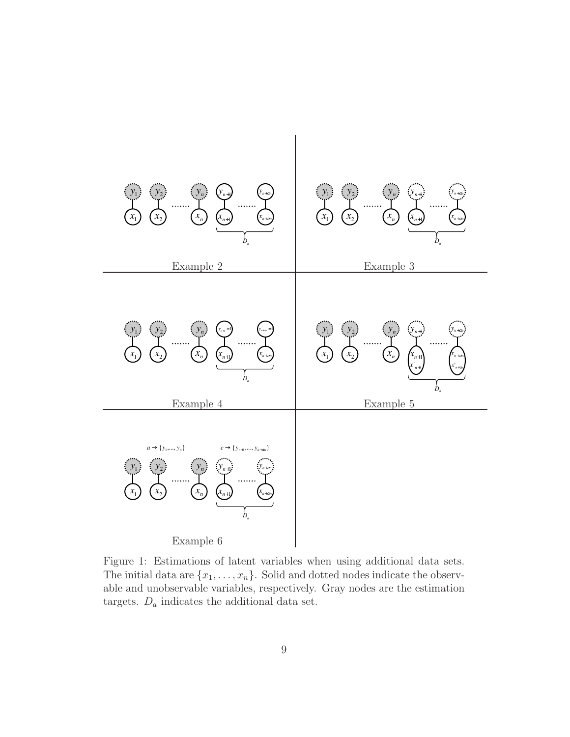

<span id="page-8-0"></span>Figure 1: Estimations of latent variables when using additional data sets. The initial data are  $\{x_1, \ldots, x_n\}$ . Solid and dotted nodes indicate the observable and unobservable variables, respectively. Gray nodes are the estimation targets.  $D_a$  indicates the additional data set.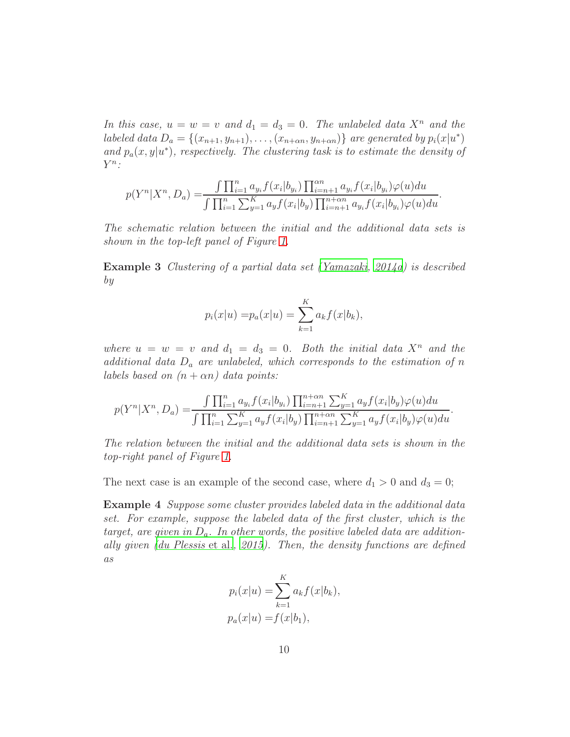In this case,  $u = w = v$  and  $d_1 = d_3 = 0$ . The unlabeled data  $X^n$  and the labeled data  $D_a = \{(x_{n+1}, y_{n+1}), \ldots, (x_{n+\alpha n}, y_{n+\alpha n})\}$  are generated by  $p_i(x|u^*)$ and  $p_a(x, y | u^*)$ , respectively. The clustering task is to estimate the density of  $Y^n$ :

$$
p(Y^{n}|X^{n}, D_{a}) = \frac{\int \prod_{i=1}^{n} a_{y_{i}} f(x_{i}|b_{y_{i}}) \prod_{i=n+1}^{\alpha n} a_{y_{i}} f(x_{i}|b_{y_{i}}) \varphi(u) du}{\int \prod_{i=1}^{n} \sum_{y=1}^{K} a_{y} f(x_{i}|b_{y}) \prod_{i=n+1}^{n} a_{y_{i}} f(x_{i}|b_{y_{i}}) \varphi(u) du}.
$$

The schematic relation between the initial and the additional data sets is shown in the top-left panel of Figure [1.](#page-8-0)

<span id="page-9-1"></span>Example 3 Clustering of a partial data set [\(Yamazaki, 2014a](#page-31-0)) is described by

$$
p_i(x|u) = p_a(x|u) = \sum_{k=1}^{K} a_k f(x|b_k),
$$

where  $u = w = v$  and  $d_1 = d_3 = 0$ . Both the initial data  $X^n$  and the additional data  $D_a$  are unlabeled, which corresponds to the estimation of n labels based on  $(n + \alpha n)$  data points:

$$
p(Y^{n}|X^{n}, D_{a}) = \frac{\int \prod_{i=1}^{n} a_{y_{i}} f(x_{i}|b_{y_{i}}) \prod_{i=n+1}^{n+\alpha n} \sum_{y=1}^{K} a_{y} f(x_{i}|b_{y}) \varphi(u) du}{\int \prod_{i=1}^{n} \sum_{y=1}^{K} a_{y} f(x_{i}|b_{y}) \prod_{i=n+1}^{n+\alpha n} \sum_{y=1}^{K} a_{y} f(x_{i}|b_{y}) \varphi(u) du}.
$$

The relation between the initial and the additional data sets is shown in the top-right panel of Figure [1.](#page-8-0)

The next case is an example of the second case, where  $d_1 > 0$  and  $d_3 = 0$ ;

Example 4 Suppose some cluster provides labeled data in the additional data set. For example, suppose the labeled data of the first cluster, which is the target, are given in  $D_a$ . In other words, the positive labeled data are additionally given [\(du Plessis](#page-30-6) et al., [2015](#page-30-6)). Then, the density functions are defined as

<span id="page-9-0"></span>
$$
p_i(x|u) = \sum_{k=1}^K a_k f(x|b_k),
$$
  

$$
p_a(x|u) = f(x|b_1),
$$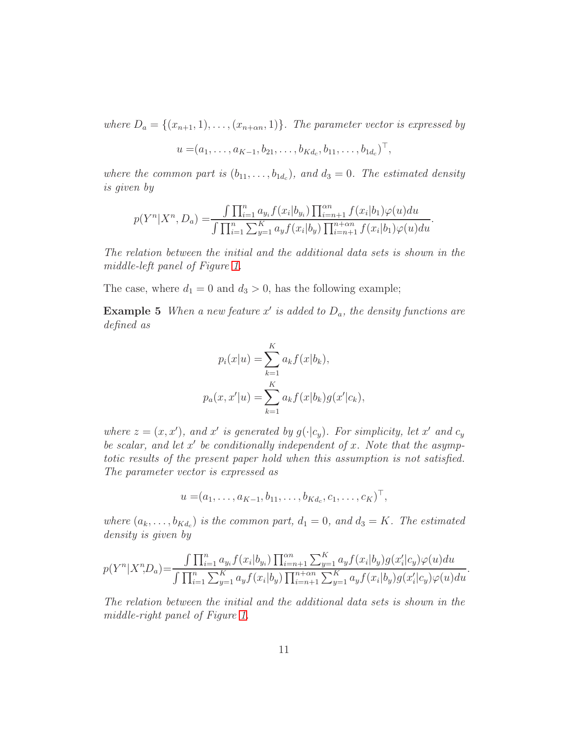where  $D_a = \{(x_{n+1}, 1), \ldots, (x_{n+\alpha n}, 1)\}$ . The parameter vector is expressed by

$$
u = (a_1, \ldots, a_{K-1}, b_{21}, \ldots, b_{Kd_c}, b_{11}, \ldots, b_{1d_c})^{\top},
$$

where the common part is  $(b_{11}, \ldots, b_{1d_c})$ , and  $d_3 = 0$ . The estimated density is given by

$$
p(Y^{n}|X^{n}, D_{a}) = \frac{\int \prod_{i=1}^{n} a_{y_{i}} f(x_{i}|b_{y_{i}}) \prod_{i=n+1}^{\alpha n} f(x_{i}|b_{1}) \varphi(u) du}{\int \prod_{i=1}^{n} \sum_{y=1}^{K} a_{y} f(x_{i}|b_{y}) \prod_{i=n+1}^{n+\alpha n} f(x_{i}|b_{1}) \varphi(u) du}.
$$

The relation between the initial and the additional data sets is shown in the middle-left panel of Figure [1.](#page-8-0)

The case, where  $d_1 = 0$  and  $d_3 > 0$ , has the following example;

**Example 5** When a new feature x' is added to  $D_a$ , the density functions are defined as

<span id="page-10-0"></span>
$$
p_i(x|u) = \sum_{k=1}^{K} a_k f(x|b_k),
$$
  

$$
p_a(x, x'|u) = \sum_{k=1}^{K} a_k f(x|b_k) g(x'|c_k),
$$

where  $z = (x, x')$ , and x' is generated by  $g(\cdot | c_y)$ . For simplicity, let x' and  $c_y$ be scalar, and let  $x'$  be conditionally independent of x. Note that the asymptotic results of the present paper hold when this assumption is not satisfied. The parameter vector is expressed as

$$
u = (a_1, \ldots, a_{K-1}, b_{11}, \ldots, b_{Kd_c}, c_1, \ldots, c_K)^{\top},
$$

where  $(a_k, \ldots, b_{K d_c})$  is the common part,  $d_1 = 0$ , and  $d_3 = K$ . The estimated density is given by

$$
p(Y^{n}|X^{n},D_{a}) = \frac{\int \prod_{i=1}^{n} a_{y_{i}} f(x_{i}|b_{y_{i}}) \prod_{i=n+1}^{\alpha n} \sum_{y=1}^{K} a_{y} f(x_{i}|b_{y}) g(x'_{i}|c_{y}) \varphi(u) du}{\int \prod_{i=1}^{n} \sum_{y=1}^{K} a_{y} f(x_{i}|b_{y}) \prod_{i=n+1}^{n} \sum_{y=1}^{K} a_{y} f(x_{i}|b_{y}) g(x'_{i}|c_{y}) \varphi(u) du}.
$$

The relation between the initial and the additional data sets is shown in the middle-right panel of Figure [1.](#page-8-0)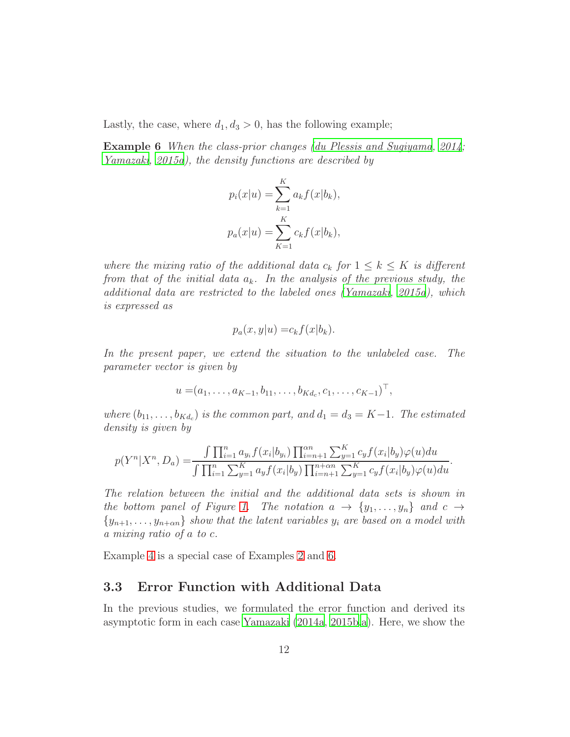Lastly, the case, where  $d_1, d_3 > 0$ , has the following example;

Example 6 When the class-prior changes [\(du Plessis and Sugiyama](#page-30-7), [2014;](#page-30-7) [Yamazaki, 2015a\)](#page-31-3), the density functions are described by

<span id="page-11-0"></span>
$$
p_i(x|u) = \sum_{k=1}^{K} a_k f(x|b_k),
$$
  

$$
p_a(x|u) = \sum_{K=1}^{K} c_k f(x|b_k),
$$

where the mixing ratio of the additional data  $c_k$  for  $1 \leq k \leq K$  is different from that of the initial data  $a_k$ . In the analysis of the previous study, the additional data are restricted to the labeled ones [\(Yamazaki](#page-31-3), [2015a](#page-31-3)), which is expressed as

$$
p_a(x, y|u) = c_k f(x|b_k).
$$

In the present paper, we extend the situation to the unlabeled case. The parameter vector is given by

$$
u = (a_1, \ldots, a_{K-1}, b_{11}, \ldots, b_{Kd_c}, c_1, \ldots, c_{K-1})^{\top},
$$

where  $(b_{11}, \ldots, b_{Kd_c})$  is the common part, and  $d_1 = d_3 = K-1$ . The estimated density is given by

$$
p(Y^{n}|X^{n}, D_{a}) = \frac{\int \prod_{i=1}^{n} a_{y_{i}} f(x_{i}|b_{y_{i}}) \prod_{i=n+1}^{n} \sum_{y=1}^{K} c_{y} f(x_{i}|b_{y}) \varphi(u) du}{\int \prod_{i=1}^{n} \sum_{y=1}^{K} a_{y} f(x_{i}|b_{y}) \prod_{i=n+1}^{n} \sum_{y=1}^{K} c_{y} f(x_{i}|b_{y}) \varphi(u) du}.
$$

The relation between the initial and the additional data sets is shown in the bottom panel of Figure [1.](#page-8-0) The notation  $a \rightarrow \{y_1, \ldots, y_n\}$  and  $c \rightarrow$  ${y_{n+1}, \ldots, y_{n+\alpha n}}$  show that the latent variables  $y_i$  are based on a model with a mixing ratio of a to c.

Example [4](#page-9-0) is a special case of Examples [2](#page-7-0) and [6.](#page-11-0)

#### 3.3 Error Function with Additional Data

In the previous studies, we formulated the error function and derived its asymptotic form in each case [Yamazaki \(2014a,](#page-31-0) [2015b](#page-31-4)[,a](#page-31-3)). Here, we show the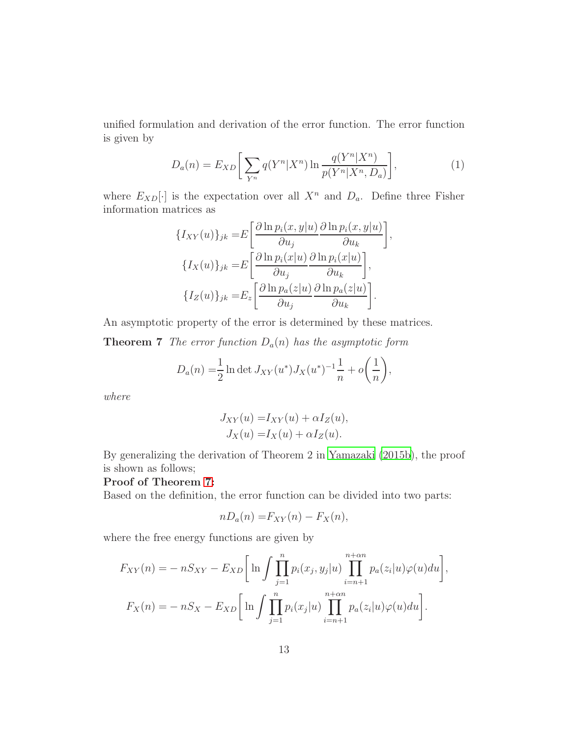unified formulation and derivation of the error function. The error function is given by

<span id="page-12-1"></span>
$$
D_a(n) = E_{XD} \bigg[ \sum_{Y^n} q(Y^n | X^n) \ln \frac{q(Y^n | X^n)}{p(Y^n | X^n, D_a)} \bigg],
$$
 (1)

where  $E_{XD}[\cdot]$  is the expectation over all  $X^n$  and  $D_a$ . Define three Fisher information matrices as

$$
\{I_{XY}(u)\}_{jk} = E\left[\frac{\partial \ln p_i(x, y|u)}{\partial u_j} \frac{\partial \ln p_i(x, y|u)}{\partial u_k}\right],
$$
  

$$
\{I_X(u)\}_{jk} = E\left[\frac{\partial \ln p_i(x|u)}{\partial u_j} \frac{\partial \ln p_i(x|u)}{\partial u_k}\right],
$$
  

$$
\{I_Z(u)\}_{jk} = E_z\left[\frac{\partial \ln p_a(z|u)}{\partial u_j} \frac{\partial \ln p_a(z|u)}{\partial u_k}\right].
$$

An asymptotic property of the error is determined by these matrices.

**Theorem 7** The error function  $D_a(n)$  has the asymptotic form

$$
D_a(n) = \frac{1}{2} \ln \det J_{XY}(u^*) J_X(u^*)^{-1} \frac{1}{n} + o\left(\frac{1}{n}\right),
$$

where

<span id="page-12-0"></span>
$$
J_{XY}(u) = I_{XY}(u) + \alpha I_Z(u),
$$
  
\n
$$
J_X(u) = I_X(u) + \alpha I_Z(u).
$$

By generalizing the derivation of Theorem 2 in [Yamazaki \(2015b](#page-31-4)), the proof is shown as follows;

#### Proof of Theorem [7:](#page-12-0)

Based on the definition, the error function can be divided into two parts:

$$
nD_a(n) = F_{XY}(n) - F_X(n),
$$

where the free energy functions are given by

$$
F_{XY}(n) = -nS_{XY} - E_{XD} \Bigg[ \ln \int \prod_{j=1}^{n} p_i(x_j, y_j | u) \prod_{i=n+1}^{n+\alpha n} p_a(z_i | u) \varphi(u) du \Bigg],
$$
  

$$
F_X(n) = -nS_X - E_{XD} \Bigg[ \ln \int \prod_{j=1}^{n} p_i(x_j | u) \prod_{i=n+1}^{n+\alpha n} p_a(z_i | u) \varphi(u) du \Bigg].
$$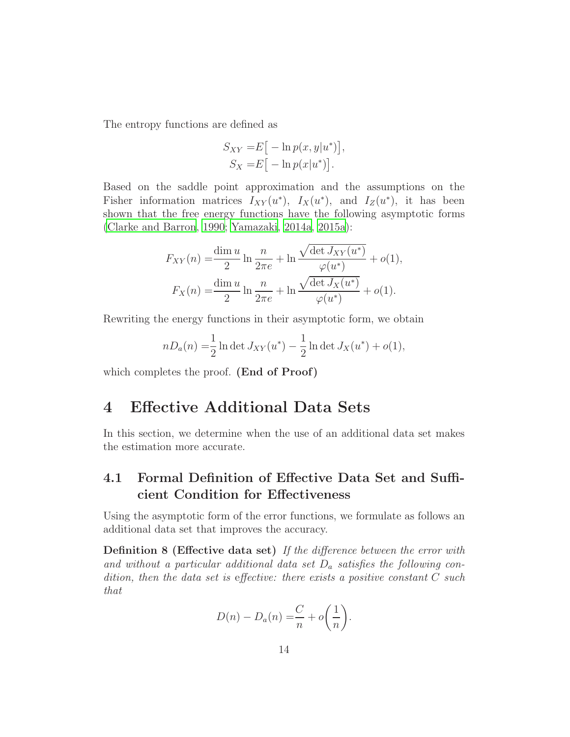The entropy functions are defined as

$$
S_{XY} = E\big[-\ln p(x, y|u^*)\big],
$$
  
\n
$$
S_X = E\big[-\ln p(x|u^*)\big].
$$

Based on the saddle point approximation and the assumptions on the Fisher information matrices  $I_{XY}(u^*)$ ,  $I_X(u^*)$ , and  $I_Z(u^*)$ , it has been shown that the free energy functions have the following asymptotic forms [\(Clarke and Barron, 1990;](#page-29-6) [Yamazaki](#page-31-0), [2014a,](#page-31-0) [2015a](#page-31-3)):

$$
F_{XY}(n) = \frac{\dim u}{2} \ln \frac{n}{2\pi e} + \ln \frac{\sqrt{\det J_{XY}(u^*)}}{\varphi(u^*)} + o(1),
$$
  

$$
F_X(n) = \frac{\dim u}{2} \ln \frac{n}{2\pi e} + \ln \frac{\sqrt{\det J_X(u^*)}}{\varphi(u^*)} + o(1).
$$

Rewriting the energy functions in their asymptotic form, we obtain

$$
nD_a(n) = \frac{1}{2} \ln \det J_{XY}(u^*) - \frac{1}{2} \ln \det J_X(u^*) + o(1),
$$

which completes the proof. (End of Proof)

## <span id="page-13-0"></span>4 Effective Additional Data Sets

In this section, we determine when the use of an additional data set makes the estimation more accurate.

## 4.1 Formal Definition of Effective Data Set and Sufficient Condition for Effectiveness

Using the asymptotic form of the error functions, we formulate as follows an additional data set that improves the accuracy.

**Definition 8 (Effective data set)** If the difference between the error with and without a particular additional data set  $D_a$  satisfies the following condition, then the data set is effective: there exists a positive constant C such that

$$
D(n) - D_a(n) = \frac{C}{n} + o\left(\frac{1}{n}\right).
$$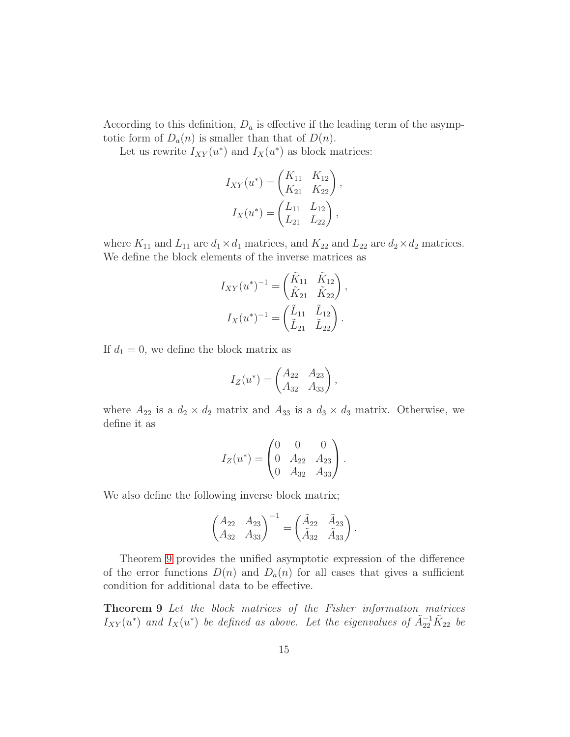According to this definition,  $D_a$  is effective if the leading term of the asymptotic form of  $D_a(n)$  is smaller than that of  $D(n)$ .

Let us rewrite  $I_{XY}(u^*)$  and  $I_X(u^*)$  as block matrices:

$$
I_{XY}(u^*) = \begin{pmatrix} K_{11} & K_{12} \\ K_{21} & K_{22} \end{pmatrix},
$$

$$
I_X(u^*) = \begin{pmatrix} L_{11} & L_{12} \\ L_{21} & L_{22} \end{pmatrix},
$$

where  $K_{11}$  and  $L_{11}$  are  $d_1 \times d_1$  matrices, and  $K_{22}$  and  $L_{22}$  are  $d_2 \times d_2$  matrices. We define the block elements of the inverse matrices as

$$
I_{XY}(u^*)^{-1} = \begin{pmatrix} \tilde{K}_{11} & \tilde{K}_{12} \\ \tilde{K}_{21} & \tilde{K}_{22} \end{pmatrix},
$$

$$
I_X(u^*)^{-1} = \begin{pmatrix} \tilde{L}_{11} & \tilde{L}_{12} \\ \tilde{L}_{21} & \tilde{L}_{22} \end{pmatrix}.
$$

If  $d_1 = 0$ , we define the block matrix as

$$
I_Z(u^*) = \begin{pmatrix} A_{22} & A_{23} \\ A_{32} & A_{33} \end{pmatrix},
$$

where  $A_{22}$  is a  $d_2 \times d_2$  matrix and  $A_{33}$  is a  $d_3 \times d_3$  matrix. Otherwise, we define it as

$$
I_Z(u^*) = \begin{pmatrix} 0 & 0 & 0 \\ 0 & A_{22} & A_{23} \\ 0 & A_{32} & A_{33} \end{pmatrix}.
$$

We also define the following inverse block matrix;

<span id="page-14-0"></span>
$$
\begin{pmatrix} A_{22} & A_{23} \ A_{32} & A_{33} \end{pmatrix}^{-1} = \begin{pmatrix} \tilde{A}_{22} & \tilde{A}_{23} \\ \tilde{A}_{32} & \tilde{A}_{33} \end{pmatrix}.
$$

Theorem [9](#page-14-0) provides the unified asymptotic expression of the difference of the error functions  $D(n)$  and  $D_a(n)$  for all cases that gives a sufficient condition for additional data to be effective.

Theorem 9 Let the block matrices of the Fisher information matrices  $I_{XY}(u^*)$  and  $I_X(u^*)$  be defined as above. Let the eigenvalues of  $\tilde{A}_{22}^{-1}\tilde{K}_{22}$  be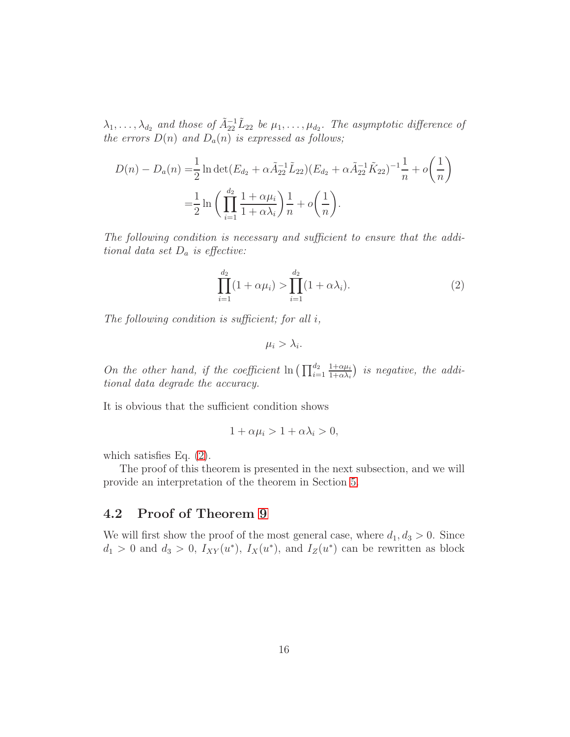$\lambda_1, \ldots, \lambda_{d_2}$  and those of  $\tilde{A}_{22}^{-1} \tilde{L}_{22}$  be  $\mu_1, \ldots, \mu_{d_2}$ . The asymptotic difference of the errors  $D(n)$  and  $D_n(n)$  is expressed as follows;

$$
D(n) - D_a(n) = \frac{1}{2} \ln \det (E_{d_2} + \alpha \tilde{A}_{22}^{-1} \tilde{L}_{22}) (E_{d_2} + \alpha \tilde{A}_{22}^{-1} \tilde{K}_{22})^{-1} \frac{1}{n} + o\left(\frac{1}{n}\right)
$$
  
=  $\frac{1}{2} \ln \left(\prod_{i=1}^{d_2} \frac{1 + \alpha \mu_i}{1 + \alpha \lambda_i}\right) \frac{1}{n} + o\left(\frac{1}{n}\right).$ 

The following condition is necessary and sufficient to ensure that the additional data set  $D_a$  is effective:

$$
\prod_{i=1}^{d_2} (1 + \alpha \mu_i) > \prod_{i=1}^{d_2} (1 + \alpha \lambda_i).
$$
 (2)

The following condition is sufficient; for all  $i$ ,

<span id="page-15-0"></span>
$$
\mu_i > \lambda_i.
$$

On the other hand, if the coefficient  $\ln\left(\prod_{i=1}^{d_2}\right)$  $1+\alpha\mu_i$  $\frac{1+\alpha\mu_i}{1+\alpha\lambda_i}$ ) is negative, the additional data degrade the accuracy.

It is obvious that the sufficient condition shows

$$
1 + \alpha \mu_i > 1 + \alpha \lambda_i > 0,
$$

which satisfies Eq. [\(2\)](#page-15-0).

The proof of this theorem is presented in the next subsection, and we will provide an interpretation of the theorem in Section [5.](#page-24-0)

### 4.2 Proof of Theorem [9](#page-14-0)

We will first show the proof of the most general case, where  $d_1, d_3 > 0$ . Since  $d_1 > 0$  and  $d_3 > 0$ ,  $I_{XY}(u^*), I_X(u^*)$ , and  $I_Z(u^*)$  can be rewritten as block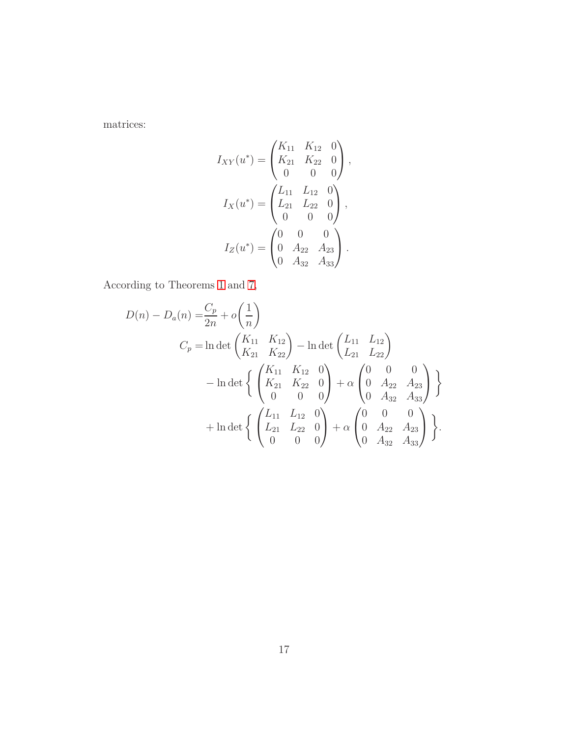matrices:

$$
I_{XY}(u^*) = \begin{pmatrix} K_{11} & K_{12} & 0 \\ K_{21} & K_{22} & 0 \\ 0 & 0 & 0 \end{pmatrix},
$$

$$
I_X(u^*) = \begin{pmatrix} L_{11} & L_{12} & 0 \\ L_{21} & L_{22} & 0 \\ 0 & 0 & 0 \end{pmatrix},
$$

$$
I_Z(u^*) = \begin{pmatrix} 0 & 0 & 0 \\ 0 & A_{22} & A_{23} \\ 0 & A_{32} & A_{33} \end{pmatrix}.
$$

According to Theorems [1](#page-5-1) and [7,](#page-12-0)

$$
D(n) - D_a(n) = \frac{C_p}{2n} + o\left(\frac{1}{n}\right)
$$
  
\n
$$
C_p = \ln \det \begin{pmatrix} K_{11} & K_{12} \\ K_{21} & K_{22} \end{pmatrix} - \ln \det \begin{pmatrix} L_{11} & L_{12} \\ L_{21} & L_{22} \end{pmatrix}
$$
  
\n
$$
- \ln \det \begin{cases} \begin{pmatrix} K_{11} & K_{12} & 0 \\ K_{21} & K_{22} & 0 \\ 0 & 0 & 0 \end{pmatrix} + o\begin{pmatrix} 0 & 0 & 0 \\ 0 & A_{22} & A_{23} \\ 0 & A_{32} & A_{33} \end{pmatrix} \end{cases}
$$
  
\n
$$
+ \ln \det \begin{cases} \begin{pmatrix} L_{11} & L_{12} & 0 \\ L_{21} & L_{22} & 0 \\ 0 & 0 & 0 \end{pmatrix} + o\begin{pmatrix} 0 & 0 & 0 \\ 0 & A_{22} & A_{23} \\ 0 & A_{32} & A_{33} \end{pmatrix} \end{cases}.
$$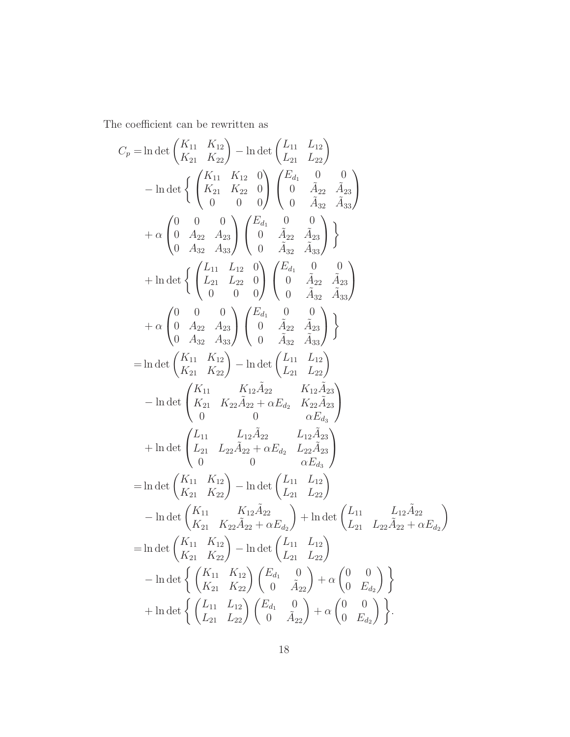The coefficient can be rewritten as

$$
C_p = \ln \det \begin{pmatrix} K_{11} & K_{12} \\ K_{21} & K_{22} \end{pmatrix} - \ln \det \begin{pmatrix} L_{11} & L_{12} \\ L_{21} & L_{22} \end{pmatrix}
$$
  
\n
$$
- \ln \det \begin{Bmatrix} \begin{pmatrix} K_{11} & K_{12} & 0 \\ K_{21} & K_{22} & 0 \\ 0 & 0 & 0 \end{pmatrix} \begin{pmatrix} E_{d_1} & 0 & 0 \\ 0 & \tilde{A}_{22} & \tilde{A}_{23} \\ 0 & 0 & 0 \end{pmatrix}
$$
  
\n
$$
+ \alpha \begin{pmatrix} 0 & 0 & 0 \\ 0 & A_{22} & A_{23} \\ 0 & A_{32} & A_{33} \end{pmatrix} \begin{pmatrix} E_{d_1} & 0 & 0 \\ 0 & \tilde{A}_{22} & \tilde{A}_{23} \\ 0 & 0 & \tilde{A}_{32} & \tilde{A}_{33} \end{pmatrix}
$$
  
\n
$$
+ \ln \det \begin{Bmatrix} \begin{pmatrix} L_{11} & L_{12} & 0 \\ L_{21} & L_{22} & 0 \\ 0 & 0 & 0 \end{pmatrix} \begin{pmatrix} E_{d_1} & 0 & 0 \\ 0 & \tilde{A}_{22} & \tilde{A}_{23} \\ 0 & 0 & \tilde{A}_{32} & \tilde{A}_{33} \end{pmatrix}
$$
  
\n
$$
+ \alpha \begin{pmatrix} 0 & 0 & 0 \\ 0 & A_{22} & A_{23} \\ 0 & A_{32} & A_{33} \end{pmatrix} \begin{pmatrix} E_{d_1} & 0 & 0 \\ 0 & \tilde{A}_{22} & \tilde{A}_{23} \\ 0 & \tilde{A}_{32} & \tilde{A}_{33} \end{pmatrix} \end{Bmatrix}
$$
  
\n
$$
= \ln \det \begin{pmatrix} K_{11} & K_{12} \\ K_{21} & K_{22} \end{pmatrix} - \ln \det \begin{pmatrix} L_{11} & L_{12} \\ L_{21} & L_{22} \end{pmatrix}
$$
  
\n
$$
- \ln \det \begin{pmatrix} K_{11} & K_{12} \tilde
$$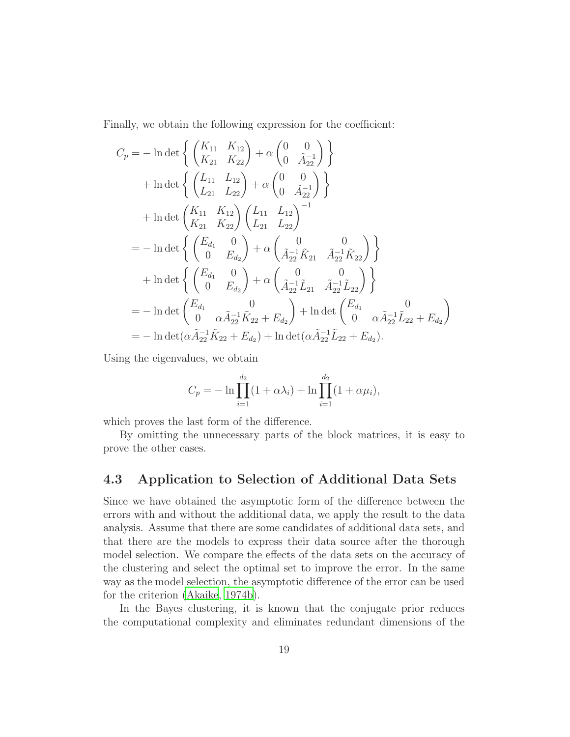Finally, we obtain the following expression for the coefficient:

$$
C_p = -\ln \det \left\{ \begin{pmatrix} K_{11} & K_{12} \\ K_{21} & K_{22} \end{pmatrix} + \alpha \begin{pmatrix} 0 & 0 \\ 0 & \tilde{A}_{21}^{-1} \end{pmatrix} \right\}
$$
  
+  $\ln \det \left\{ \begin{pmatrix} L_{11} & L_{12} \\ L_{21} & L_{22} \end{pmatrix} + \alpha \begin{pmatrix} 0 & 0 \\ 0 & \tilde{A}_{22}^{-1} \end{pmatrix} \right\}$   
+  $\ln \det \begin{pmatrix} K_{11} & K_{12} \\ K_{21} & K_{22} \end{pmatrix} \begin{pmatrix} L_{11} & L_{12} \\ L_{21} & L_{22} \end{pmatrix}^{-1}$   
=  $-\ln \det \left\{ \begin{pmatrix} E_{d_1} & 0 \\ 0 & E_{d_2} \end{pmatrix} + \alpha \begin{pmatrix} 0 & 0 \\ \tilde{A}_{22}^{-1} \tilde{K}_{21} & \tilde{A}_{22}^{-1} \tilde{K}_{22} \end{pmatrix} \right\}$   
+  $\ln \det \left\{ \begin{pmatrix} E_{d_1} & 0 \\ 0 & E_{d_2} \end{pmatrix} + \alpha \begin{pmatrix} 0 & 0 \\ \tilde{A}_{22}^{-1} \tilde{L}_{21} & \tilde{A}_{22}^{-1} \tilde{L}_{22} \end{pmatrix} \right\}$   
=  $-\ln \det \begin{pmatrix} E_{d_1} & 0 \\ 0 & \alpha \tilde{A}_{22}^{-1} \tilde{K}_{22} + E_{d_2} \end{pmatrix} + \ln \det \begin{pmatrix} E_{d_1} & 0 \\ 0 & \alpha \tilde{A}_{22}^{-1} \tilde{L}_{22} + E_{d_2} \end{pmatrix}$   
=  $-\ln \det (\alpha \tilde{A}_{22}^{-1} \tilde{K}_{22} + E_{d_2}) + \ln \det (\alpha \tilde{A}_{22}^{-1} \tilde{L}_{22} + E_{d_2}).$ 

Using the eigenvalues, we obtain

$$
C_p = -\ln \prod_{i=1}^{d_2} (1 + \alpha \lambda_i) + \ln \prod_{i=1}^{d_2} (1 + \alpha \mu_i),
$$

which proves the last form of the difference.

By omitting the unnecessary parts of the block matrices, it is easy to prove the other cases.

### 4.3 Application to Selection of Additional Data Sets

Since we have obtained the asymptotic form of the difference between the errors with and without the additional data, we apply the result to the data analysis. Assume that there are some candidates of additional data sets, and that there are the models to express their data source after the thorough model selection. We compare the effects of the data sets on the accuracy of the clustering and select the optimal set to improve the error. In the same way as the model selection, the asymptotic difference of the error can be used for the criterion [\(Akaike, 1974b\)](#page-29-7).

In the Bayes clustering, it is known that the conjugate prior reduces the computational complexity and eliminates redundant dimensions of the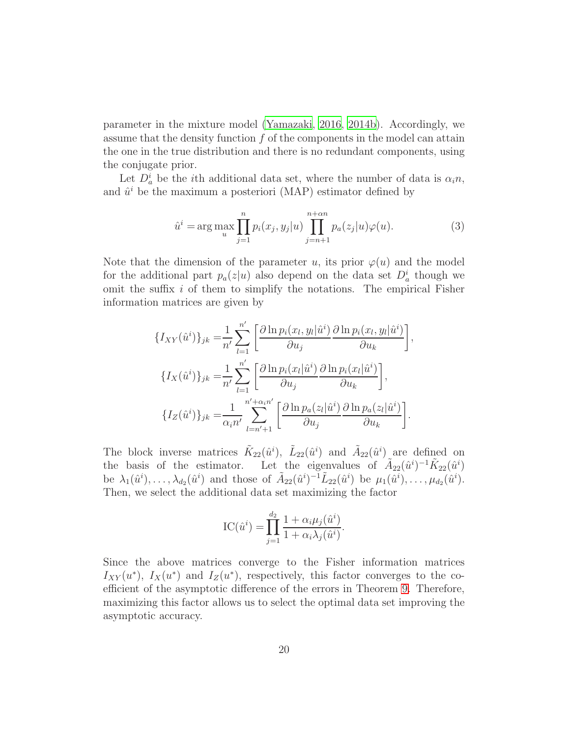parameter in the mixture model [\(Yamazaki, 2016,](#page-31-5) [2014b](#page-31-7)). Accordingly, we assume that the density function  $f$  of the components in the model can attain the one in the true distribution and there is no redundant components, using the conjugate prior.

Let  $D_a^i$  be the *i*th additional data set, where the number of data is  $\alpha_i n$ , and  $\hat{u}^i$  be the maximum a posteriori (MAP) estimator defined by

<span id="page-19-0"></span>
$$
\hat{u}^i = \arg \max_{u} \prod_{j=1}^n p_i(x_j, y_j | u) \prod_{j=n+1}^{n+\alpha n} p_a(z_j | u) \varphi(u).
$$
 (3)

Note that the dimension of the parameter u, its prior  $\varphi(u)$  and the model for the additional part  $p_a(z|u)$  also depend on the data set  $D_a^i$  though we omit the suffix i of them to simplify the notations. The empirical Fisher information matrices are given by

$$
\{I_{XY}(\hat{u}^i)\}_{jk} = \frac{1}{n'} \sum_{l=1}^{n'} \left[ \frac{\partial \ln p_i(x_l, y_l | \hat{u}^i)}{\partial u_j} \frac{\partial \ln p_i(x_l, y_l | \hat{u}^i)}{\partial u_k} \right],
$$
  

$$
\{I_X(\hat{u}^i)\}_{jk} = \frac{1}{n'} \sum_{l=1}^{n'} \left[ \frac{\partial \ln p_i(x_l | \hat{u}^i)}{\partial u_j} \frac{\partial \ln p_i(x_l | \hat{u}^i)}{\partial u_k} \right],
$$
  

$$
\{I_Z(\hat{u}^i)\}_{jk} = \frac{1}{\alpha_i n'} \sum_{l=n'+1}^{n'+\alpha_i n'} \left[ \frac{\partial \ln p_a(z_l | \hat{u}^i)}{\partial u_j} \frac{\partial \ln p_a(z_l | \hat{u}^i)}{\partial u_k} \right].
$$

The block inverse matrices  $\tilde{K}_{22}(\hat{u}^i)$ ,  $\tilde{L}_{22}(\hat{u}^i)$  and  $\tilde{A}_{22}(\hat{u}^i)$  are defined on the basis of the estimator. Let the eigenvalues of  $\tilde{A}_{22}(\hat{u}^i)^{-1}\tilde{K}_{22}(\hat{u}^i)$ be  $\lambda_1(\hat{u}^i), \ldots, \lambda_{d_2}(\hat{u}^i)$  and those of  $\tilde{A}_{22}(\hat{u}^i)^{-1} \tilde{L}_{22}(\hat{u}^i)$  be  $\mu_1(\hat{u}^i), \ldots, \mu_{d_2}(\hat{u}^i)$ . Then, we select the additional data set maximizing the factor

$$
IC(\hat{u}^i) = \prod_{j=1}^{d_2} \frac{1 + \alpha_i \mu_j(\hat{u}^i)}{1 + \alpha_i \lambda_j(\hat{u}^i)}.
$$

Since the above matrices converge to the Fisher information matrices  $I_{XY}(u^*)$ ,  $I_X(u^*)$  and  $I_Z(u^*)$ , respectively, this factor converges to the coefficient of the asymptotic difference of the errors in Theorem [9.](#page-14-0) Therefore, maximizing this factor allows us to select the optimal data set improving the asymptotic accuracy.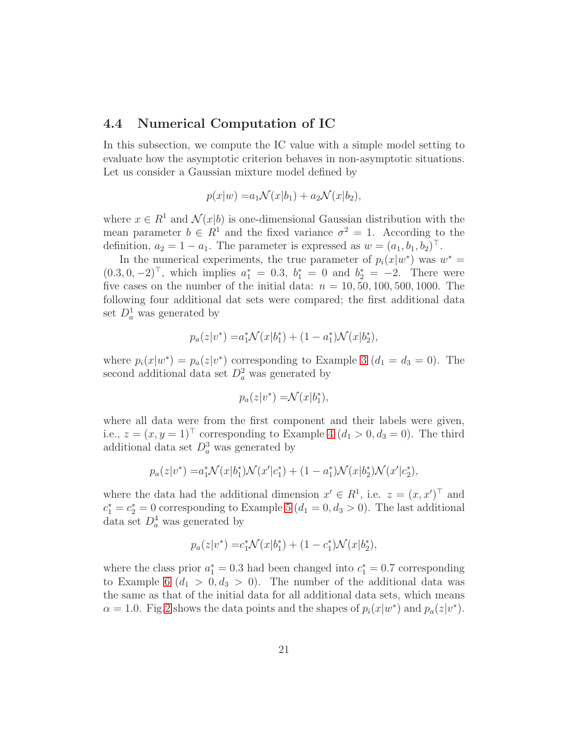#### 4.4 Numerical Computation of IC

In this subsection, we compute the IC value with a simple model setting to evaluate how the asymptotic criterion behaves in non-asymptotic situations. Let us consider a Gaussian mixture model defined by

$$
p(x|w) = a_1 \mathcal{N}(x|b_1) + a_2 \mathcal{N}(x|b_2),
$$

where  $x \in R^1$  and  $\mathcal{N}(x|b)$  is one-dimensional Gaussian distribution with the mean parameter  $b \in R^1$  and the fixed variance  $\sigma^2 = 1$ . According to the definition,  $a_2 = 1 - a_1$ . The parameter is expressed as  $w = (a_1, b_1, b_2)^\top$ .

In the numerical experiments, the true parameter of  $p_i(x|w^*)$  was  $w^* =$  $(0.3, 0, -2)^\top$ , which implies  $a_1^* = 0.3$ ,  $b_1^* = 0$  and  $b_2^* = -2$ . There were five cases on the number of the initial data:  $n = 10, 50, 100, 500, 1000$ . The following four additional dat sets were compared; the first additional data set  $D_a^1$  was generated by

$$
p_a(z|v^*) = a_1^* \mathcal{N}(x|b_1^*) + (1 - a_1^*) \mathcal{N}(x|b_2^*),
$$

where  $p_i(x|w^*) = p_a(z|v^*)$  corresponding to Example [3](#page-9-1)  $(d_1 = d_3 = 0)$ . The second additional data set  $D_a^2$  was generated by

$$
p_a(z|v^*) = \mathcal{N}(x|b_1^*),
$$

where all data were from the first component and their labels were given, i.e.,  $z = (x, y = 1)^\top$  corresponding to Example [4](#page-9-0)  $(d_1 > 0, d_3 = 0)$ . The third additional data set  $D_a^3$  was generated by

$$
p_a(z|v^*) = a_1^* \mathcal{N}(x|b_1^*) \mathcal{N}(x'|c_1^*) + (1 - a_1^*) \mathcal{N}(x|b_2^*) \mathcal{N}(x'|c_2^*),
$$

where the data had the additional dimension  $x' \in R^1$ , i.e.  $z = (x, x')^\top$  and  $c_1^* = c_2^* = 0$  corresponding to Example [5](#page-10-0)  $(d_1 = 0, d_3 > 0)$ . The last additional data set  $D_a^4$  was generated by

$$
p_a(z|v^*) = c_1^* \mathcal{N}(x|b_1^*) + (1 - c_1^*) \mathcal{N}(x|b_2^*),
$$

where the class prior  $a_1^* = 0.3$  had been changed into  $c_1^* = 0.7$  corresponding to Example [6](#page-11-0)  $(d_1 > 0, d_3 > 0)$ . The number of the additional data was the same as that of the initial data for all additional data sets, which means  $\alpha = 1.0$ . Fig[.2](#page-21-0) shows the data points and the shapes of  $p_i(x|w^*)$  and  $p_a(z|v^*)$ .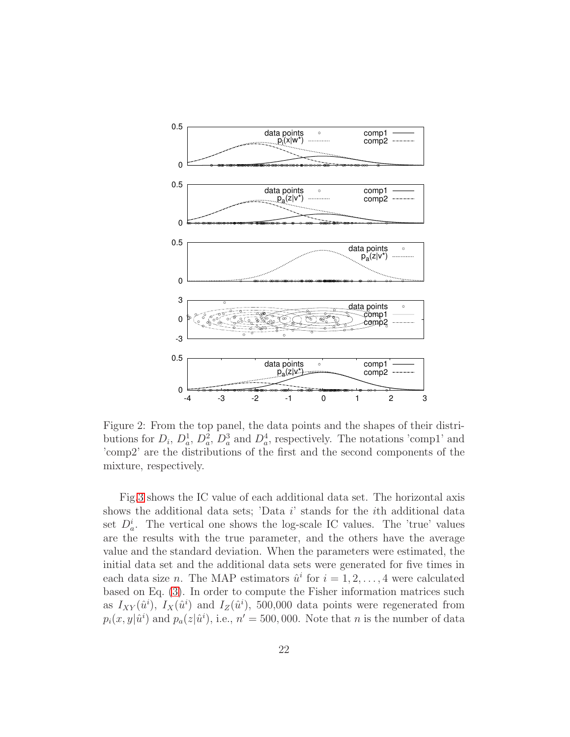

<span id="page-21-0"></span>Figure 2: From the top panel, the data points and the shapes of their distributions for  $D_i$ ,  $D_a^1$ ,  $D_a^2$ ,  $D_a^3$  and  $D_a^4$ , respectively. The notations 'comp1' and 'comp2' are the distributions of the first and the second components of the mixture, respectively.

Fig[.3](#page-22-0) shows the IC value of each additional data set. The horizontal axis shows the additional data sets; 'Data i' stands for the ith additional data set  $D_a^i$ . The vertical one shows the log-scale IC values. The 'true' values are the results with the true parameter, and the others have the average value and the standard deviation. When the parameters were estimated, the initial data set and the additional data sets were generated for five times in each data size *n*. The MAP estimators  $\hat{u}^i$  for  $i = 1, 2, ..., 4$  were calculated based on Eq. [\(3\)](#page-19-0). In order to compute the Fisher information matrices such as  $I_{XY}(\hat{u}^i)$ ,  $I_X(\hat{u}^i)$  and  $I_Z(\hat{u}^i)$ , 500,000 data points were regenerated from  $p_i(x, y|\hat{u}^i)$  and  $p_a(z|\hat{u}^i)$ , i.e.,  $n' = 500,000$ . Note that n is the number of data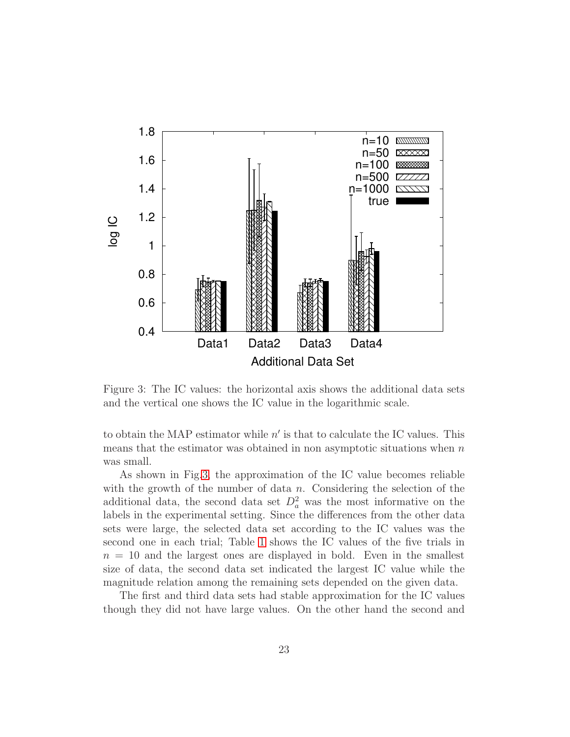

<span id="page-22-0"></span>Figure 3: The IC values: the horizontal axis shows the additional data sets and the vertical one shows the IC value in the logarithmic scale.

to obtain the MAP estimator while  $n'$  is that to calculate the IC values. This means that the estimator was obtained in non asymptotic situations when  $n$ was small.

As shown in Fig[.3,](#page-22-0) the approximation of the IC value becomes reliable with the growth of the number of data  $n$ . Considering the selection of the additional data, the second data set  $D_a^2$  was the most informative on the labels in the experimental setting. Since the differences from the other data sets were large, the selected data set according to the IC values was the second one in each trial; Table [1](#page-23-0) shows the IC values of the five trials in  $n = 10$  and the largest ones are displayed in bold. Even in the smallest size of data, the second data set indicated the largest IC value while the magnitude relation among the remaining sets depended on the given data.

The first and third data sets had stable approximation for the IC values though they did not have large values. On the other hand the second and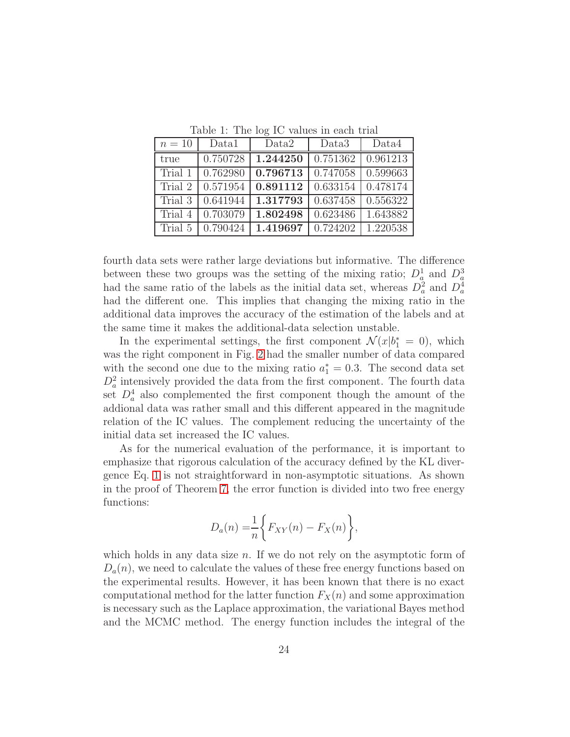<span id="page-23-0"></span>Table 1: The log IC values in each trial

| $n=10$  | Data1    | Data2    | Data3    | Data4    |
|---------|----------|----------|----------|----------|
| true    | 0.750728 | 1.244250 | 0.751362 | 0.961213 |
| Trial 1 | 0.762980 | 0.796713 | 0.747058 | 0.599663 |
| Trial 2 | 0.571954 | 0.891112 | 0.633154 | 0.478174 |
| Trial 3 | 0.641944 | 1.317793 | 0.637458 | 0.556322 |
| Trial 4 | 0.703079 | 1.802498 | 0.623486 | 1.643882 |
| Trial 5 | 0.790424 | 1.419697 | 0.724202 | 1.220538 |

fourth data sets were rather large deviations but informative. The difference between these two groups was the setting of the mixing ratio;  $D_a^1$  and  $D_a^3$ had the same ratio of the labels as the initial data set, whereas  $D_a^2$  and  $D_a^4$ had the different one. This implies that changing the mixing ratio in the additional data improves the accuracy of the estimation of the labels and at the same time it makes the additional-data selection unstable.

In the experimental settings, the first component  $\mathcal{N}(x|b_1^* = 0)$ , which was the right component in Fig. [2](#page-21-0) had the smaller number of data compared with the second one due to the mixing ratio  $a_1^* = 0.3$ . The second data set  $D_a^2$  intensively provided the data from the first component. The fourth data set  $D_a^4$  also complemented the first component though the amount of the addional data was rather small and this different appeared in the magnitude relation of the IC values. The complement reducing the uncertainty of the initial data set increased the IC values.

As for the numerical evaluation of the performance, it is important to emphasize that rigorous calculation of the accuracy defined by the KL divergence Eq. [1](#page-12-1) is not straightforward in non-asymptotic situations. As shown in the proof of Theorem [7,](#page-12-0) the error function is divided into two free energy functions:

$$
D_a(n) = \frac{1}{n} \bigg\{ F_{XY}(n) - F_X(n) \bigg\},\,
$$

which holds in any data size *n*. If we do not rely on the asymptotic form of  $D_a(n)$ , we need to calculate the values of these free energy functions based on the experimental results. However, it has been known that there is no exact computational method for the latter function  $F_X(n)$  and some approximation is necessary such as the Laplace approximation, the variational Bayes method and the MCMC method. The energy function includes the integral of the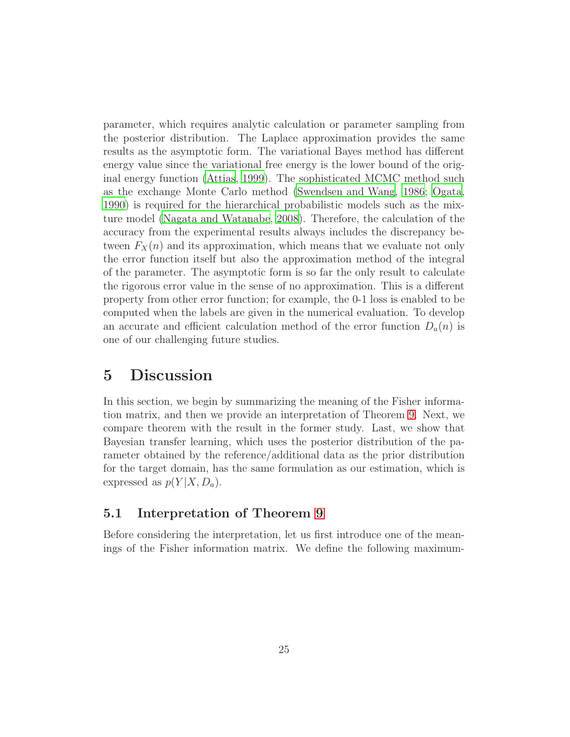parameter, which requires analytic calculation or parameter sampling from the posterior distribution. The Laplace approximation provides the same results as the asymptotic form. The variational Bayes method has different energy value since the variational free energy is the lower bound of the original energy function [\(Attias](#page-29-5), [1999\)](#page-29-5). The sophisticated MCMC method such as the exchange Monte Carlo method [\(Swendsen and Wang](#page-30-8), [1986](#page-30-8); [Ogata](#page-30-9), [1990](#page-30-9)) is required for the hierarchical probabilistic models such as the mixture model [\(Nagata and Watanabe](#page-30-10), [2008\)](#page-30-10). Therefore, the calculation of the accuracy from the experimental results always includes the discrepancy between  $F_X(n)$  and its approximation, which means that we evaluate not only the error function itself but also the approximation method of the integral of the parameter. The asymptotic form is so far the only result to calculate the rigorous error value in the sense of no approximation. This is a different property from other error function; for example, the 0-1 loss is enabled to be computed when the labels are given in the numerical evaluation. To develop an accurate and efficient calculation method of the error function  $D_a(n)$  is one of our challenging future studies.

## <span id="page-24-0"></span>5 Discussion

In this section, we begin by summarizing the meaning of the Fisher information matrix, and then we provide an interpretation of Theorem [9.](#page-14-0) Next, we compare theorem with the result in the former study. Last, we show that Bayesian transfer learning, which uses the posterior distribution of the parameter obtained by the reference/additional data as the prior distribution for the target domain, has the same formulation as our estimation, which is expressed as  $p(Y|X, D_a)$ .

### 5.1 Interpretation of Theorem [9](#page-14-0)

Before considering the interpretation, let us first introduce one of the meanings of the Fisher information matrix. We define the following maximum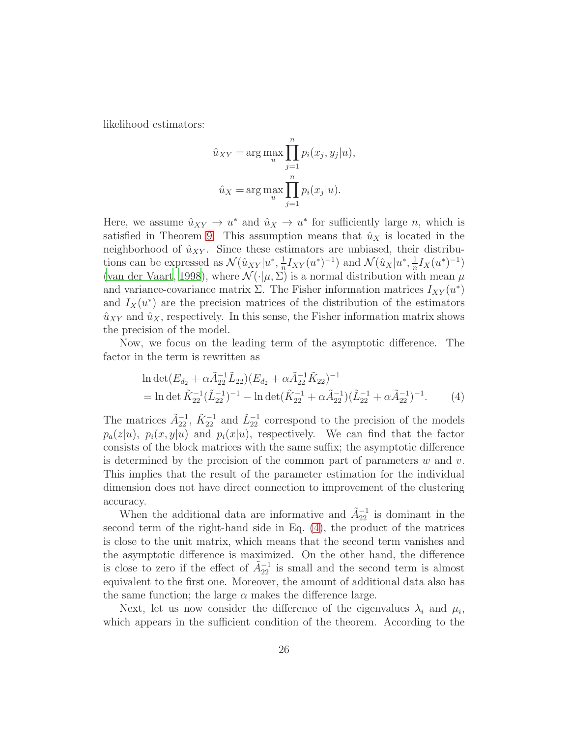likelihood estimators:

$$
\hat{u}_{XY} = \arg\max_{u} \prod_{j=1}^{n} p_i(x_j, y_j | u),
$$

$$
\hat{u}_X = \arg\max_{u} \prod_{j=1}^{n} p_i(x_j | u).
$$

Here, we assume  $\hat{u}_{XY} \to u^*$  and  $\hat{u}_X \to u^*$  for sufficiently large *n*, which is satisfied in Theorem [9.](#page-14-0) This assumption means that  $\hat{u}_X$  is located in the neighborhood of  $\hat{u}_{XY}$ . Since these estimators are unbiased, their distributions can be expressed as  $\mathcal{N}(\hat{u}_{XY}|u^*,\frac{1}{n})$  $\frac{1}{n}I_{XY}(u^*)^{-1}$  and  $\mathcal{N}(\hat{u}_X|u^*,\frac{1}{n})$  $\frac{1}{n}I_X(u^*)^{-1})$ [\(van der Vaart](#page-30-11), [1998](#page-30-11)), where  $\mathcal{N}(\cdot|\mu, \Sigma)$  is a normal distribution with mean  $\mu$ and variance-covariance matrix  $\Sigma$ . The Fisher information matrices  $I_{XY}(u^*)$ and  $I_X(u^*)$  are the precision matrices of the distribution of the estimators  $\hat{u}_{XY}$  and  $\hat{u}_X$ , respectively. In this sense, the Fisher information matrix shows the precision of the model.

Now, we focus on the leading term of the asymptotic difference. The factor in the term is rewritten as

<span id="page-25-0"></span>
$$
\ln \det (E_{d_2} + \alpha \tilde{A}_{22}^{-1} \tilde{L}_{22}) (E_{d_2} + \alpha \tilde{A}_{22}^{-1} \tilde{K}_{22})^{-1}
$$
  
= 
$$
\ln \det \tilde{K}_{22}^{-1} (\tilde{L}_{22}^{-1})^{-1} - \ln \det (\tilde{K}_{22}^{-1} + \alpha \tilde{A}_{22}^{-1}) (\tilde{L}_{22}^{-1} + \alpha \tilde{A}_{22}^{-1})^{-1}.
$$
 (4)

The matrices  $\tilde{A}_{22}^{-1}$ ,  $\tilde{K}_{22}^{-1}$  and  $\tilde{L}_{22}^{-1}$  correspond to the precision of the models  $p_a(z|u)$ ,  $p_i(x,y|u)$  and  $p_i(x|u)$ , respectively. We can find that the factor consists of the block matrices with the same suffix; the asymptotic difference is determined by the precision of the common part of parameters  $w$  and  $v$ . This implies that the result of the parameter estimation for the individual dimension does not have direct connection to improvement of the clustering accuracy.

When the additional data are informative and  $\tilde{A}_{22}^{-1}$  is dominant in the second term of the right-hand side in Eq. [\(4\)](#page-25-0), the product of the matrices is close to the unit matrix, which means that the second term vanishes and the asymptotic difference is maximized. On the other hand, the difference is close to zero if the effect of  $\tilde{A}_{22}^{-1}$  is small and the second term is almost equivalent to the first one. Moreover, the amount of additional data also has the same function; the large  $\alpha$  makes the difference large.

Next, let us now consider the difference of the eigenvalues  $\lambda_i$  and  $\mu_i$ , which appears in the sufficient condition of the theorem. According to the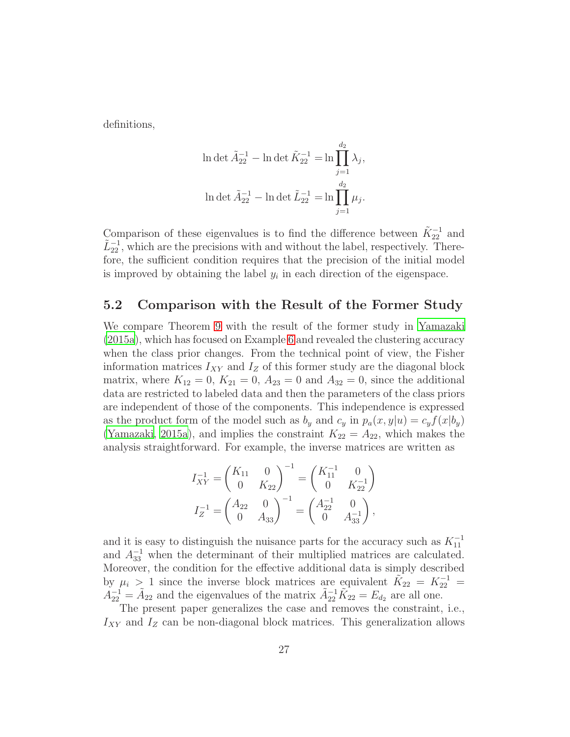definitions,

$$
\ln \det \tilde{A}_{22}^{-1} - \ln \det \tilde{K}_{22}^{-1} = \ln \prod_{j=1}^{d_2} \lambda_j,
$$
  

$$
\ln \det \tilde{A}_{22}^{-1} - \ln \det \tilde{L}_{22}^{-1} = \ln \prod_{j=1}^{d_2} \mu_j.
$$

Comparison of these eigenvalues is to find the difference between  $\tilde{K}_{22}^{-1}$  and  $\tilde{L}_{22}^{-1}$ , which are the precisions with and without the label, respectively. Therefore, the sufficient condition requires that the precision of the initial model is improved by obtaining the label  $y_i$  in each direction of the eigenspace.

### 5.2 Comparison with the Result of the Former Study

We compare Theorem [9](#page-14-0) with the result of the former study in [Yamazaki](#page-31-3) [\(2015a\)](#page-31-3), which has focused on Example [6](#page-11-0) and revealed the clustering accuracy when the class prior changes. From the technical point of view, the Fisher information matrices  $I_{XY}$  and  $I_Z$  of this former study are the diagonal block matrix, where  $K_{12} = 0$ ,  $K_{21} = 0$ ,  $A_{23} = 0$  and  $A_{32} = 0$ , since the additional data are restricted to labeled data and then the parameters of the class priors are independent of those of the components. This independence is expressed as the product form of the model such as  $b_y$  and  $c_y$  in  $p_a(x, y|u) = c_y f(x|b_y)$ [\(Yamazaki](#page-31-3), [2015a\)](#page-31-3), and implies the constraint  $K_{22} = A_{22}$ , which makes the analysis straightforward. For example, the inverse matrices are written as

$$
\begin{aligned} I_{XY}^{-1} &= \begin{pmatrix} K_{11} & 0 \\ 0 & K_{22} \end{pmatrix}^{-1} = \begin{pmatrix} K_{11}^{-1} & 0 \\ 0 & K_{22}^{-1} \end{pmatrix} \\ I_Z^{-1} &= \begin{pmatrix} A_{22} & 0 \\ 0 & A_{33} \end{pmatrix}^{-1} = \begin{pmatrix} A_{22}^{-1} & 0 \\ 0 & A_{33}^{-1} \end{pmatrix}, \end{aligned}
$$

and it is easy to distinguish the nuisance parts for the accuracy such as  $K_{11}^{-1}$ and  $A_{33}^{-1}$  when the determinant of their multiplied matrices are calculated. Moreover, the condition for the effective additional data is simply described by  $\mu_i > 1$  since the inverse block matrices are equivalent  $\tilde{K}_{22} = K_{22}^{-1} =$  $A_{22}^{-1} = \tilde{A}_{22}$  and the eigenvalues of the matrix  $\tilde{A}_{22}^{-1} \tilde{K}_{22} = E_{d_2}$  are all one.

The present paper generalizes the case and removes the constraint, i.e.,  $I_{XY}$  and  $I_Z$  can be non-diagonal block matrices. This generalization allows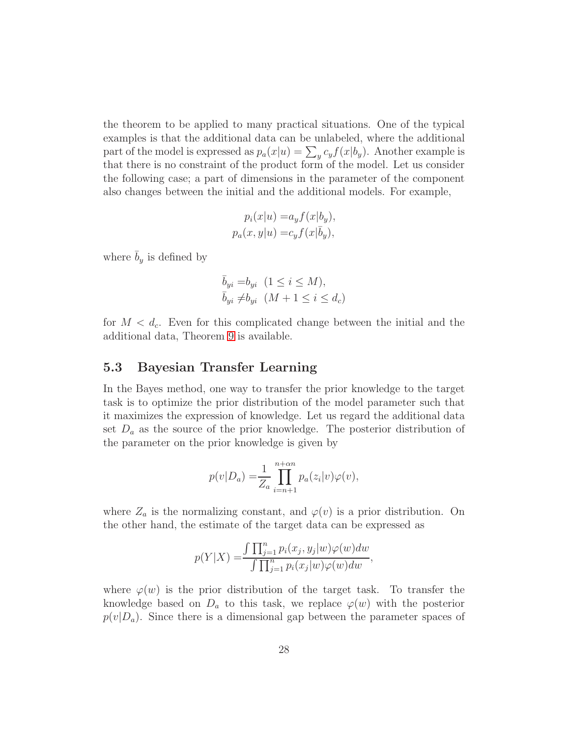the theorem to be applied to many practical situations. One of the typical examples is that the additional data can be unlabeled, where the additional part of the model is expressed as  $p_a(x|u) = \sum_y c_y f(x|b_y)$ . Another example is that there is no constraint of the product form of the model. Let us consider the following case; a part of dimensions in the parameter of the component also changes between the initial and the additional models. For example,

$$
p_i(x|u) = a_y f(x|b_y),
$$
  

$$
p_a(x, y|u) = c_y f(x|\bar{b}_y),
$$

where  $\bar{b}_y$  is defined by

$$
\overline{b}_{yi} = b_{yi} \quad (1 \le i \le M),
$$
  

$$
\overline{b}_{yi} \ne b_{yi} \quad (M+1 \le i \le d_c)
$$

for  $M < d_c$ . Even for this complicated change between the initial and the additional data, Theorem [9](#page-14-0) is available.

#### 5.3 Bayesian Transfer Learning

In the Bayes method, one way to transfer the prior knowledge to the target task is to optimize the prior distribution of the model parameter such that it maximizes the expression of knowledge. Let us regard the additional data set  $D_a$  as the source of the prior knowledge. The posterior distribution of the parameter on the prior knowledge is given by

$$
p(v|D_a) = \frac{1}{Z_a} \prod_{i=n+1}^{n+\alpha n} p_a(z_i|v)\varphi(v),
$$

where  $Z_a$  is the normalizing constant, and  $\varphi(v)$  is a prior distribution. On the other hand, the estimate of the target data can be expressed as

$$
p(Y|X) = \frac{\int \prod_{j=1}^n p_i(x_j, y_j|w) \varphi(w)dw}{\int \prod_{j=1}^n p_i(x_j|w) \varphi(w)dw},
$$

where  $\varphi(w)$  is the prior distribution of the target task. To transfer the knowledge based on  $D_a$  to this task, we replace  $\varphi(w)$  with the posterior  $p(v|D_a)$ . Since there is a dimensional gap between the parameter spaces of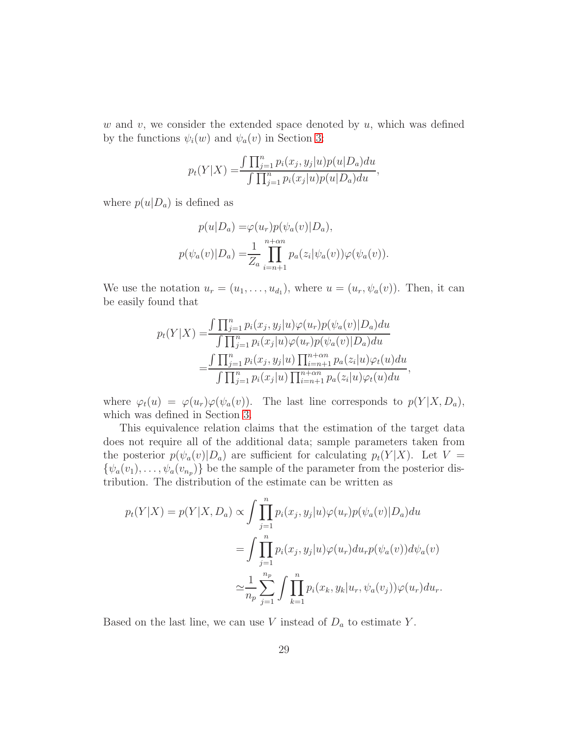w and v, we consider the extended space denoted by  $u$ , which was defined by the functions  $\psi_i(w)$  and  $\psi_a(v)$  in Section [3:](#page-5-0)

$$
p_t(Y|X) = \frac{\int \prod_{j=1}^n p_i(x_j, y_j|u) p(u|D_a) du}{\int \prod_{j=1}^n p_i(x_j|u) p(u|D_a) du},
$$

where  $p(u|D_a)$  is defined as

$$
p(u|D_a) = \varphi(u_r)p(\psi_a(v)|D_a),
$$
  

$$
p(\psi_a(v)|D_a) = \frac{1}{Z_a} \prod_{i=n+1}^{n+\alpha n} p_a(z_i|\psi_a(v))\varphi(\psi_a(v)).
$$

We use the notation  $u_r = (u_1, \ldots, u_{d_1})$ , where  $u = (u_r, \psi_a(v))$ . Then, it can be easily found that

$$
p_t(Y|X) = \frac{\int \prod_{j=1}^n p_i(x_j, y_j|u) \varphi(u_r) p(\psi_a(v)|D_a) du}{\int \prod_{j=1}^n p_i(x_j|u) \varphi(u_r) p(\psi_a(v)|D_a) du}
$$
  
= 
$$
\frac{\int \prod_{j=1}^n p_i(x_j, y_j|u) \prod_{i=n+1}^{n+\alpha n} p_a(z_i|u) \varphi_t(u) du}{\int \prod_{j=1}^n p_i(x_j|u) \prod_{i=n+1}^{n+\alpha n} p_a(z_i|u) \varphi_t(u) du},
$$

where  $\varphi_t(u) = \varphi(u_r)\varphi(\psi_a(v))$ . The last line corresponds to  $p(Y|X, D_a)$ , which was defined in Section [3.](#page-5-0)

This equivalence relation claims that the estimation of the target data does not require all of the additional data; sample parameters taken from the posterior  $p(\psi_a(v)|D_a)$  are sufficient for calculating  $p_t(Y|X)$ . Let  $V =$  $\{\psi_a(v_1), \ldots, \psi_a(v_{n_p})\}\$ be the sample of the parameter from the posterior distribution. The distribution of the estimate can be written as

$$
p_t(Y|X) = p(Y|X, D_a) \propto \int \prod_{j=1}^n p_i(x_j, y_j|u) \varphi(u_r) p(\psi_a(v)|D_a) du
$$
  
= 
$$
\int \prod_{j=1}^n p_i(x_j, y_j|u) \varphi(u_r) du_r p(\psi_a(v)) d\psi_a(v)
$$
  

$$
\approx \frac{1}{n_p} \sum_{j=1}^{n_p} \int \prod_{k=1}^n p_i(x_k, y_k|u_r, \psi_a(v_j)) \varphi(u_r) du_r.
$$

Based on the last line, we can use  $V$  instead of  $D_a$  to estimate  $Y$ .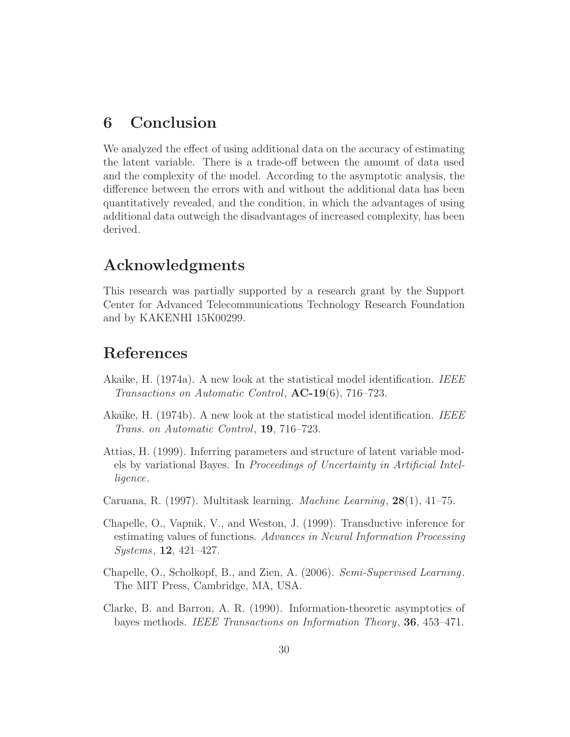## <span id="page-29-4"></span>6 Conclusion

We analyzed the effect of using additional data on the accuracy of estimating the latent variable. There is a trade-off between the amount of data used and the complexity of the model. According to the asymptotic analysis, the difference between the errors with and without the additional data has been quantitatively revealed, and the condition, in which the advantages of using additional data outweigh the disadvantages of increased complexity, has been derived.

## Acknowledgments

This research was partially supported by a research grant by the Support Center for Advanced Telecommunications Technology Research Foundation and by KAKENHI 15K00299.

## References

- <span id="page-29-0"></span>Akaike, H. (1974a). A new look at the statistical model identification. IEEE Transactions on Automatic Control,  $AC-19(6)$ , 716–723.
- <span id="page-29-7"></span>Akaike, H. (1974b). A new look at the statistical model identification. IEEE Trans. on Automatic Control, 19, 716–723.
- <span id="page-29-5"></span>Attias, H. (1999). Inferring parameters and structure of latent variable models by variational Bayes. In Proceedings of Uncertainty in Artificial Intelligence.
- <span id="page-29-3"></span>Caruana, R. (1997). Multitask learning. Machine Learning, 28(1), 41–75.
- <span id="page-29-2"></span>Chapelle, O., Vapnik, V., and Weston, J. (1999). Transductive inference for estimating values of functions. Advances in Neural Information Processing Systems, 12, 421–427.
- <span id="page-29-1"></span>Chapelle, O., Scholkopf, B., and Zien, A. (2006). Semi-Supervised Learning. The MIT Press, Cambridge, MA, USA.
- <span id="page-29-6"></span>Clarke, B. and Barron, A. R. (1990). Information-theoretic asymptotics of bayes methods. IEEE Transactions on Information Theory, 36, 453–471.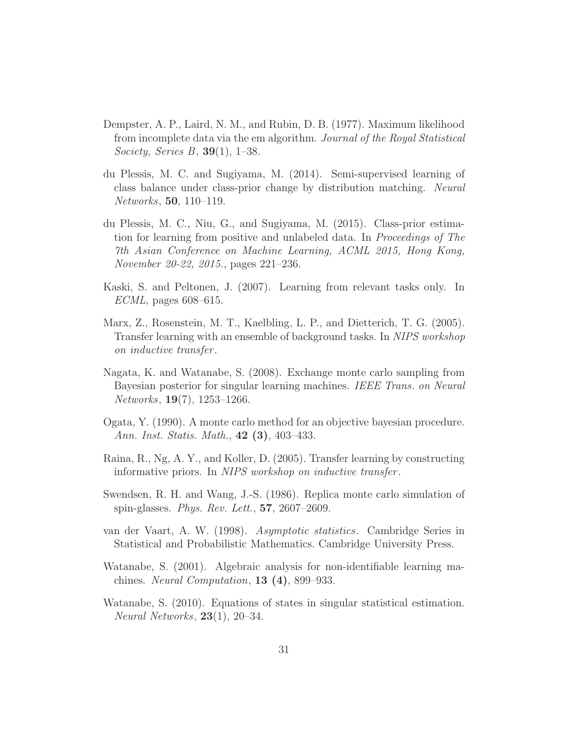- <span id="page-30-5"></span>Dempster, A. P., Laird, N. M., and Rubin, D. B. (1977). Maximum likelihood from incomplete data via the em algorithm. Journal of the Royal Statistical Society, Series B, 39(1), 1–38.
- <span id="page-30-7"></span>du Plessis, M. C. and Sugiyama, M. (2014). Semi-supervised learning of class balance under class-prior change by distribution matching. Neural Networks, 50, 110–119.
- <span id="page-30-6"></span>du Plessis, M. C., Niu, G., and Sugiyama, M. (2015). Class-prior estimation for learning from positive and unlabeled data. In Proceedings of The 7th Asian Conference on Machine Learning, ACML 2015, Hong Kong, November 20-22, 2015., pages 221–236.
- <span id="page-30-3"></span>Kaski, S. and Peltonen, J. (2007). Learning from relevant tasks only. In ECML, pages 608–615.
- <span id="page-30-2"></span>Marx, Z., Rosenstein, M. T., Kaelbling, L. P., and Dietterich, T. G. (2005). Transfer learning with an ensemble of background tasks. In NIPS workshop on inductive transfer .
- <span id="page-30-10"></span>Nagata, K. and Watanabe, S. (2008). Exchange monte carlo sampling from Bayesian posterior for singular learning machines. IEEE Trans. on Neural Networks, 19(7), 1253–1266.
- <span id="page-30-9"></span>Ogata, Y. (1990). A monte carlo method for an objective bayesian procedure. Ann. Inst. Statis. Math., 42 (3), 403–433.
- <span id="page-30-1"></span>Raina, R., Ng, A. Y., and Koller, D. (2005). Transfer learning by constructing informative priors. In NIPS workshop on *inductive transfer*.
- <span id="page-30-8"></span>Swendsen, R. H. and Wang, J.-S. (1986). Replica monte carlo simulation of spin-glasses. Phys. Rev. Lett.,  $57, 2607-2609$ .
- <span id="page-30-11"></span>van der Vaart, A. W. (1998). Asymptotic statistics. Cambridge Series in Statistical and Probabilistic Mathematics. Cambridge University Press.
- <span id="page-30-4"></span>Watanabe, S. (2001). Algebraic analysis for non-identifiable learning machines. Neural Computation,  $13(4)$ , 899–933.
- <span id="page-30-0"></span>Watanabe, S. (2010). Equations of states in singular statistical estimation. Neural Networks, 23(1), 20–34.